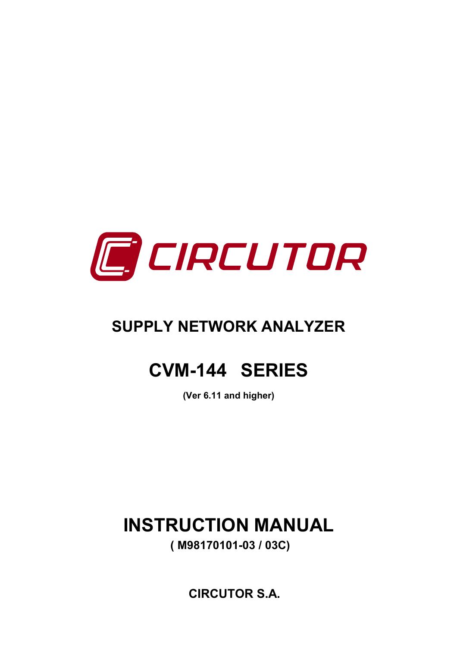

# **SUPPLY NETWORK ANALYZER**

# **CVM-144 SERIES**

 **(Ver 6.11 and higher)** 

**INSTRUCTION MANUAL ( M98170101-03 / 03C)** 

**CIRCUTOR S.A.**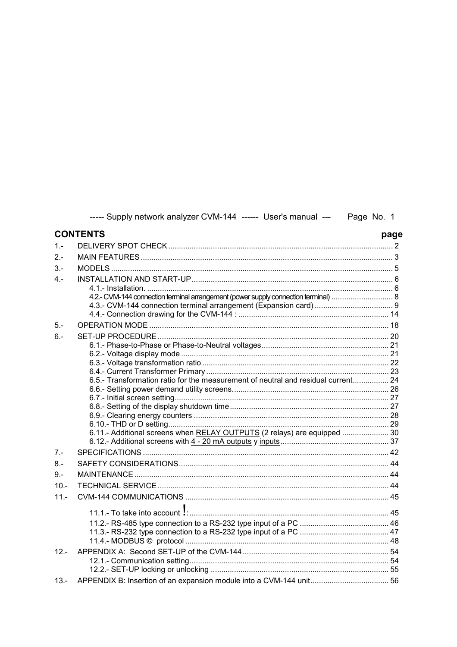|         | ----- Supply network analyzer CVM-144 ------ User's manual ---  Page No. 1          |      |
|---------|-------------------------------------------------------------------------------------|------|
|         | <b>CONTENTS</b>                                                                     | page |
| $1 -$   |                                                                                     |      |
| $2 -$   |                                                                                     |      |
| $3 -$   |                                                                                     |      |
| $4 -$   | 4.2.- CVM-144 connection terminal arrangement (power supply connection terminal)  8 |      |
|         |                                                                                     |      |
| $5 -$   |                                                                                     |      |
| $6 -$   |                                                                                     |      |
|         |                                                                                     |      |
|         |                                                                                     |      |
|         |                                                                                     |      |
|         | 6.5.- Transformation ratio for the measurement of neutral and residual current 24   |      |
|         |                                                                                     |      |
|         |                                                                                     |      |
|         |                                                                                     |      |
|         |                                                                                     |      |
|         | 6.11.- Additional screens when RELAY OUTPUTS (2 relays) are equipped  30            |      |
|         |                                                                                     |      |
| $7 -$   |                                                                                     |      |
| $8 -$   |                                                                                     |      |
| $9 -$   |                                                                                     |      |
| $10. -$ |                                                                                     |      |
| $11. -$ |                                                                                     |      |
|         |                                                                                     |      |
|         |                                                                                     |      |
|         |                                                                                     |      |
|         |                                                                                     |      |
| $12 -$  |                                                                                     |      |
|         |                                                                                     |      |
|         |                                                                                     |      |
| $13 -$  |                                                                                     |      |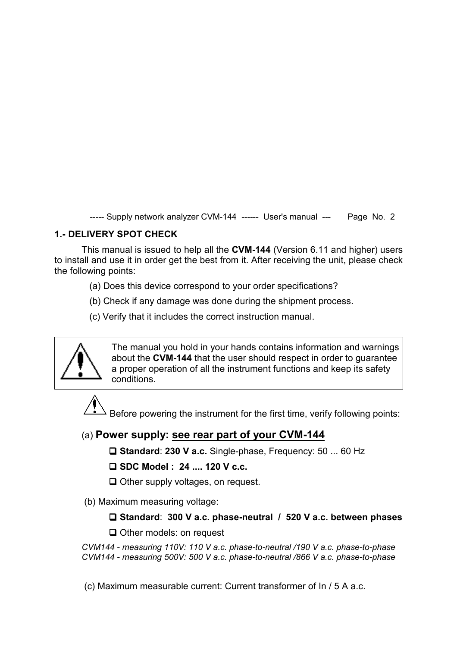# **1.- DELIVERY SPOT CHECK**

This manual is issued to help all the **CVM-144** (Version 6.11 and higher) users to install and use it in order get the best from it. After receiving the unit, please check the following points:

- (a) Does this device correspond to your order specifications?
- (b) Check if any damage was done during the shipment process.
- (c) Verify that it includes the correct instruction manual.



The manual you hold in your hands contains information and warnings about the **CVM-144** that the user should respect in order to guarantee a proper operation of all the instrument functions and keep its safety conditions.

Before powering the instrument for the first time, verify following points:

# (a) **Power supply: see rear part of your CVM-144**

 **Standard**: **230 V a.c.** Single-phase, Frequency: 50 ... 60 Hz

 **SDC Model : 24 .... 120 V c.c.**

 $\Box$  Other supply voltages, on request.

(b) Maximum measuring voltage:

# **Standard**: **300 V a.c. phase-neutral / 520 V a.c. between phases**

 $\Box$  Other models: on request

*CVM144 - measuring 110V: 110 V a.c. phase-to-neutral /190 V a.c. phase-to-phase CVM144 - measuring 500V: 500 V a.c. phase-to-neutral /866 V a.c. phase-to-phase* 

(c) Maximum measurable current: Current transformer of In / 5 A a.c.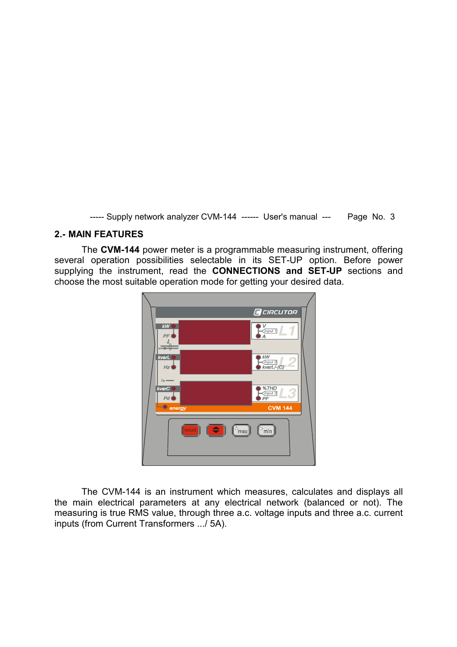#### **2.- MAIN FEATURES**

The **CVM-144** power meter is a programmable measuring instrument, offering several operation possibilities selectable in its SET-UP option. Before power supplying the instrument, read the **CONNECTIONS and SET-UP** sections and choose the most suitable operation mode for getting your desired data.



The CVM-144 is an instrument which measures, calculates and displays all the main electrical parameters at any electrical network (balanced or not). The measuring is true RMS value, through three a.c. voltage inputs and three a.c. current inputs (from Current Transformers .../ 5A).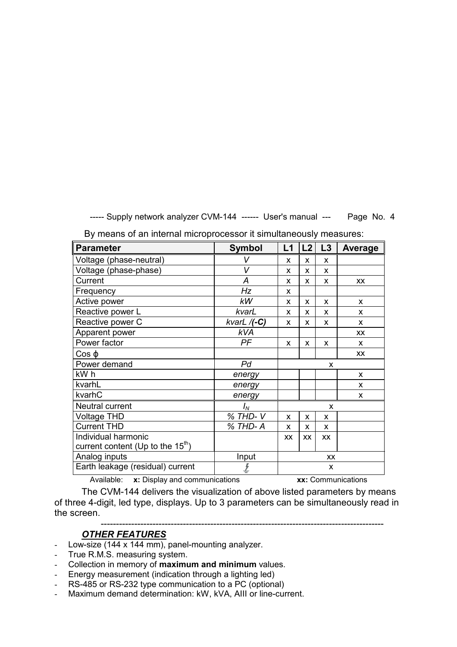| <b>Parameter</b>                    | <b>Symbol</b>  | L1 | L2        | L3 | <b>Average</b> |
|-------------------------------------|----------------|----|-----------|----|----------------|
| Voltage (phase-neutral)             | V              | X  | X         | X  |                |
| Voltage (phase-phase)               | V              | X  | X         | X  |                |
| Current                             | A              | X  | X         | X  | <b>XX</b>      |
| Frequency                           | Hz             | X  |           |    |                |
| Active power                        | kW             | X  | X         | X  | X              |
| Reactive power L                    | kvarL          | X  | x         | X  | X              |
| Reactive power C                    | kvarL $/(-C)$  | X  | X         | X  | X              |
| Apparent power                      | <b>kVA</b>     |    |           |    | <b>XX</b>      |
| Power factor                        | PF             | X  | X         | X  | X              |
| $Cos \varphi$                       |                |    |           |    | <b>XX</b>      |
| Power demand                        | P <sub>d</sub> | X  |           |    |                |
| kW h                                | energy         |    |           |    | $\mathsf{x}$   |
| kvarhL                              | energy         |    |           |    | X              |
| kvarhC                              | energy         |    |           |    | X              |
| Neutral current                     | $I_N$          |    |           | x  |                |
| <b>Voltage THD</b>                  | % THD-V        | X  | X         | X  |                |
| Current THD                         | % THD-A        | X  | X         | X  |                |
| Individual harmonic                 |                | XX | <b>XX</b> | XX |                |
| current content (Up to the $15th$ ) |                |    |           |    |                |
| Analog inputs                       | Input          | XX |           |    |                |
| Earth leakage (residual) current    |                |    |           | X  |                |

By means of an internal microprocessor it simultaneously measures:

Available: **x:** Display and communications **xx:** Communications

The CVM-144 delivers the visualization of above listed parameters by means of three 4-digit, led type, displays. Up to 3 parameters can be simultaneously read in the screen.

---------------------------------------------------------------------------------------------

# *OTHER FEATURES*

- Low-size (144 x 144 mm), panel-mounting analyzer.
- True R.M.S. measuring system.
- Collection in memory of **maximum and minimum** values.
- Energy measurement (indication through a lighting led)
- RS-485 or RS-232 type communication to a PC (optional)
- Maximum demand determination: kW, kVA, AIII or line-current.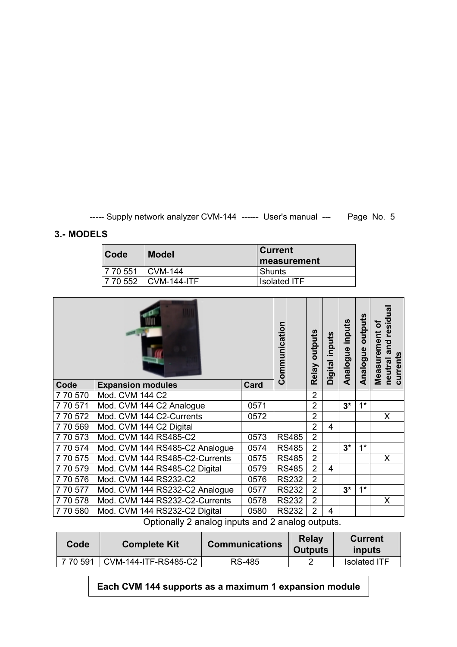# **3.- MODELS**

| Code               | <b>Model</b>               | ∣Current<br><b>I</b> measurement |
|--------------------|----------------------------|----------------------------------|
| 7 70 551   CVM-144 |                            | l Shunts                         |
| 7 70 552           | $\blacksquare$ CVM-144-ITF | <b>Isolated ITF</b>              |

|                                |                                             |              |                |                                        | inputs         | outputs  | residua<br>৳<br>Measurement<br>ē<br>ā<br>currents<br>neutral |
|--------------------------------|---------------------------------------------|--------------|----------------|----------------------------------------|----------------|----------|--------------------------------------------------------------|
| <b>Expansion modules</b>       | <b>Card</b>                                 |              |                |                                        |                |          |                                                              |
|                                |                                             |              |                |                                        |                |          |                                                              |
|                                | 0571                                        |              | $\overline{2}$ |                                        | $3^*$          | $1^*$    |                                                              |
| Mod. CVM 144 C2-Currents       | 0572                                        |              | $\overline{2}$ |                                        |                |          | X                                                            |
| Mod. CVM 144 C2 Digital        |                                             |              | $\overline{2}$ | 4                                      |                |          |                                                              |
| Mod. CVM 144 RS485-C2          | 0573                                        | <b>RS485</b> | $\overline{2}$ |                                        |                |          |                                                              |
| Mod. CVM 144 RS485-C2 Analogue | 0574                                        | <b>RS485</b> | $\overline{2}$ |                                        | $3^*$          | $1^*$    |                                                              |
| Mod. CVM 144 RS485-C2-Currents | 0575                                        | <b>RS485</b> | $\overline{2}$ |                                        |                |          | X                                                            |
| Mod. CVM 144 RS485-C2 Digital  | 0579                                        | <b>RS485</b> | $\overline{2}$ | 4                                      |                |          |                                                              |
| Mod. CVM 144 RS232-C2          | 0576                                        | <b>RS232</b> | $\overline{2}$ |                                        |                |          |                                                              |
| Mod. CVM 144 RS232-C2 Analogue | 0577                                        | <b>RS232</b> | $\overline{2}$ |                                        | $3^*$          | $1^*$    |                                                              |
| Mod. CVM 144 RS232-C2-Currents | 0578                                        | <b>RS232</b> | $\overline{2}$ |                                        |                |          | X                                                            |
| Mod. CVM 144 RS232-C2 Digital  | 0580                                        | <b>RS232</b> | $\overline{2}$ | 4                                      |                |          |                                                              |
|                                | Mod. CVM 144 C2<br>Mod. CVM 144 C2 Analogue |              | Communication  | <b>Relay outputs</b><br>$\overline{2}$ | Digital inputs | Analogue | Analogue                                                     |

Optionally 2 analog inputs and 2 analog outputs.

| Code     | <b>Complete Kit</b>  | <b>Communications</b> | Relay<br><b>Outputs</b> | <b>Current</b><br>inputs |
|----------|----------------------|-----------------------|-------------------------|--------------------------|
| 7 70 591 | CVM-144-ITF-RS485-C2 | RS-485                |                         | <b>Isolated ITF</b>      |

**Each CVM 144 supports as a maximum 1 expansion module**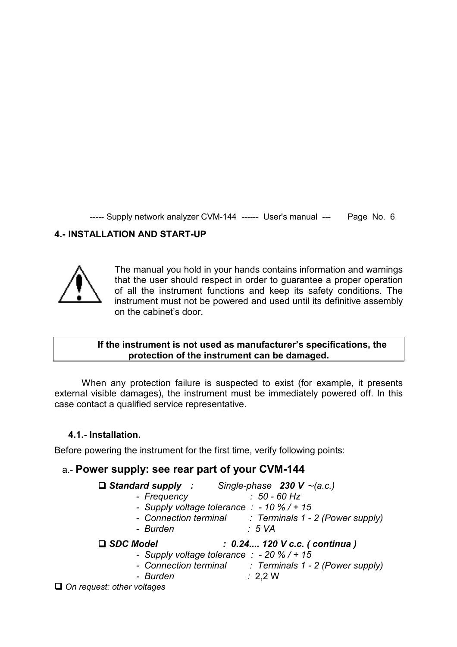# **4.- INSTALLATION AND START-UP**



The manual you hold in your hands contains information and warnings that the user should respect in order to guarantee a proper operation of all the instrument functions and keep its safety conditions. The instrument must not be powered and used until its definitive assembly on the cabinet's door.

#### **If the instrument is not used as manufacturer's specifications, the protection of the instrument can be damaged.**

When any protection failure is suspected to exist (for example, it presents external visible damages), the instrument must be immediately powered off. In this case contact a qualified service representative.

#### **4.1.- Installation.**

Before powering the instrument for the first time, verify following points:

# a.- **Power supply: see rear part of your CVM-144**

|                  |                                                       |                    | $\Box$ Standard supply : Single-phase 230 V ~ (a.c.)   |  |
|------------------|-------------------------------------------------------|--------------------|--------------------------------------------------------|--|
|                  | - Frequency                                           |                    | $: 50 - 60$ Hz                                         |  |
|                  | - Supply voltage tolerance $\therefore$ -10 % / + 15  |                    |                                                        |  |
|                  |                                                       |                    | - Connection terminal : Terminals 1 - 2 (Power supply) |  |
|                  | - Burden                                              | :5 VA              |                                                        |  |
|                  |                                                       |                    |                                                        |  |
| $\Box$ SDC Model |                                                       |                    | : 0.24 120 V c.c. (continua)                           |  |
|                  | - Supply voltage tolerance $\therefore$ - 20 % / + 15 |                    |                                                        |  |
|                  |                                                       |                    | - Connection terminal : Terminals 1 - 2 (Power supply) |  |
|                  | - Burden                                              | $\therefore$ 2,2 W |                                                        |  |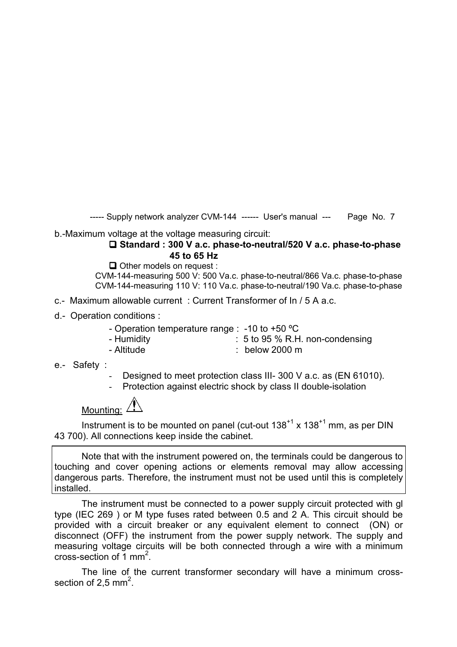b.-Maximum voltage at the voltage measuring circuit:

#### **Standard : 300 V a.c. phase-to-neutral/520 V a.c. phase-to-phase 45 to 65 Hz**

 $\Box$  Other models on request :

 CVM-144-measuring 500 V: 500 Va.c. phase-to-neutral/866 Va.c. phase-to-phase CVM-144-measuring 110 V: 110 Va.c. phase-to-neutral/190 Va.c. phase-to-phase

- c.- Maximum allowable current : Current Transformer of In / 5 A a.c.
- d.- Operation conditions :
	- Operation temperature range : -10 to +50 ºC
	- Humidity : 5 to 95 % R.H. non-condensing
	- Altitude : below 2000 m
- e.- Safety :
	- Designed to meet protection class III- 300 V a.c. as (EN 61010).
	- Protection against electric shock by class II double-isolation

Mounting: 4

Instrument is to be mounted on panel (cut-out  $138^{+1}$  x  $138^{+1}$  mm, as per DIN 43 700). All connections keep inside the cabinet.

Note that with the instrument powered on, the terminals could be dangerous to touching and cover opening actions or elements removal may allow accessing dangerous parts. Therefore, the instrument must not be used until this is completely installed.

The instrument must be connected to a power supply circuit protected with gl type (IEC 269 ) or M type fuses rated between 0.5 and 2 A. This circuit should be provided with a circuit breaker or any equivalent element to connect (ON) or disconnect (OFF) the instrument from the power supply network. The supply and measuring voltage circuits will be both connected through a wire with a minimum cross-section of  $\overline{1}$  mm<sup>2</sup>.

The line of the current transformer secondary will have a minimum crosssection of 2,5 mm<sup>2</sup>.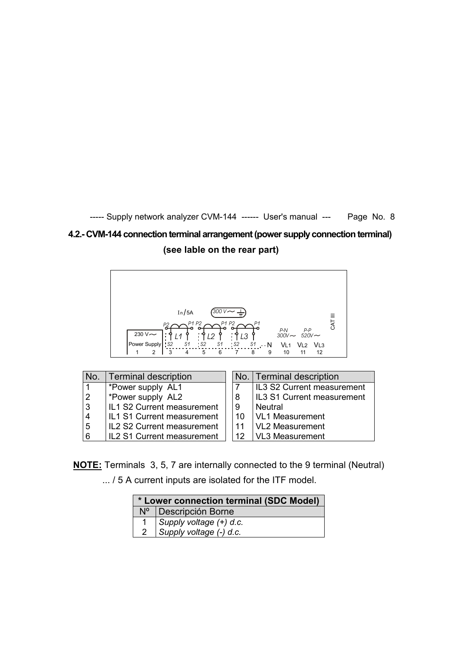# **4.2.- CVM-144 connection terminal arrangement (power supply connection terminal) (see lable on the rear part)**



| No.            | Terminal description              |      | No. Terminal description          |
|----------------|-----------------------------------|------|-----------------------------------|
|                | *Power supply AL1                 |      | <b>IL3 S2 Current measurement</b> |
| $\overline{2}$ | *Power supply AL2                 |      | <b>IL3 S1 Current measurement</b> |
| $ 3\rangle$    | <b>IL1 S2 Current measurement</b> |      | l Neutral                         |
| <b>4</b>       | <b>IL1 S1 Current measurement</b> | . 10 | <b>VL1 Measurement</b>            |
| 5              | <b>IL2 S2 Current measurement</b> |      | <b>VL2 Measurement</b>            |
| ا 6            | IL2 S1 Current measurement        | 12.  | <b>VL3 Measurement</b>            |

**NOTE:** Terminals 3, 5, 7 are internally connected to the 9 terminal (Neutral) ... / 5 A current inputs are isolated for the ITF model.

| * Lower connection terminal (SDC Model) |                         |  |  |  |  |
|-----------------------------------------|-------------------------|--|--|--|--|
| $N^{\circ}$                             | Descripción Borne       |  |  |  |  |
|                                         | Supply voltage (+) d.c. |  |  |  |  |
|                                         | Supply voltage (-) d.c. |  |  |  |  |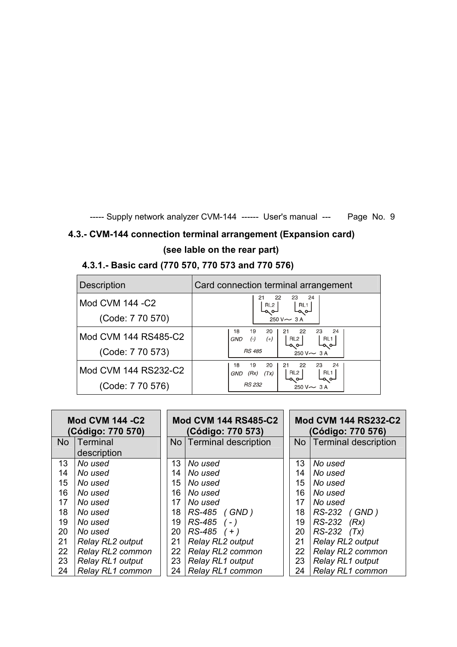# **4.3.- CVM-144 connection terminal arrangement (Expansion card) (see lable on the rear part)**

# **4.3.1.- Basic card (770 570, 770 573 and 770 576)**

| <b>Description</b>   | Card connection terminal arrangement                                                       |  |  |
|----------------------|--------------------------------------------------------------------------------------------|--|--|
| Mod CVM 144 - C2     | 24<br>23<br>22<br>21<br>RL1<br>RL2                                                         |  |  |
| (Code: 7 70 570)     | $250 V \sim 3 A$                                                                           |  |  |
| Mod CVM 144 RS485-C2 | 19<br>23<br>18<br>20<br>-22<br>24<br>21<br>$(-)$<br>RL <sub>2</sub><br>RL1<br>$(+)$<br>GND |  |  |
| (Code: 7 70 573)     | ⊸∝⊶<br>⊸ ⊶<br><b>RS 485</b><br>$250 V \sim 3 A$                                            |  |  |
| Mod CVM 144 RS232-C2 | 19<br>18<br>20<br>22<br>23<br>24<br>21<br>RL1<br>RL <sub>2</sub><br>(Rx)<br>GND<br>(Tx)    |  |  |
| (Code: 7 70 576)     | ∼∝<br>RS 232<br>$250 V \sim 3 A$                                                           |  |  |

| <b>Mod CVM 144 -C2</b><br>(Código: 770 570) |                  | <b>Mod CVM 144 RS485-C2</b><br>(Código: 770 573) |                           | <b>Mod CVM 144 RS232-C2</b><br>(Código: 770 576) |                      |  |
|---------------------------------------------|------------------|--------------------------------------------------|---------------------------|--------------------------------------------------|----------------------|--|
|                                             | No   Terminal    |                                                  | No   Terminal description | N <sub>o</sub>                                   | Terminal description |  |
|                                             | description      |                                                  |                           |                                                  |                      |  |
| 13                                          | No used          | 13                                               | No used                   | 13                                               | No used              |  |
| 14                                          | No used          | 14                                               | No used                   | 14                                               | No used              |  |
| 15                                          | No used          | 15                                               | No used                   | 15                                               | No used              |  |
| 16                                          | No used          | 16                                               | No used                   | 16                                               | No used              |  |
| 17                                          | No used          | 17                                               | No used                   | 17                                               | No used              |  |
| 18                                          | No used          | 18                                               | RS-485 (GND)              | 18                                               | RS-232 (GND)         |  |
| 19                                          | No used          | 19                                               | $RS-485$ (-)              | 19                                               | RS-232<br>(Rx)       |  |
| 20                                          | No used          | 20                                               | $RS-485 (+)$              | 20                                               | $RS-232$ $(Tx)$      |  |
| 21                                          | Relay RL2 output | 21                                               | Relay RL2 output          | 21                                               | Relay RL2 output     |  |
| 22                                          | Relay RL2 common | 22                                               | Relay RL2 common          | 22                                               | Relay RL2 common     |  |
| 23                                          | Relay RL1 output | 23                                               | Relay RL1 output          | 23                                               | Relay RL1 output     |  |
| 24                                          | Relay RL1 common | 24                                               | Relay RL1 common          | 24                                               | Relay RL1 common     |  |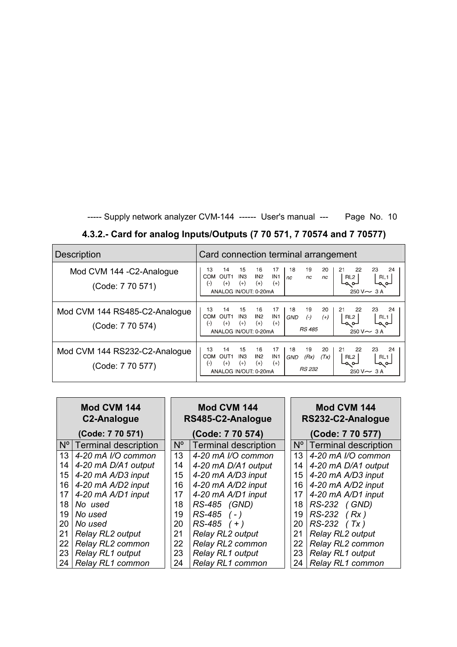| 4.3.2.- Card for analog Inputs/Outputs (7 70 571, 7 70574 and 7 70577) |  |
|------------------------------------------------------------------------|--|
|------------------------------------------------------------------------|--|

| <b>Description</b>                                | Card connection terminal arrangement                                                                                                                                                                                                                                                                                                                |
|---------------------------------------------------|-----------------------------------------------------------------------------------------------------------------------------------------------------------------------------------------------------------------------------------------------------------------------------------------------------------------------------------------------------|
| Mod CVM 144 - C2-Analogue<br>(Code: 7 70 571)     | 17<br>19<br>23<br>24<br>13<br>14<br>15<br>16<br>18<br>20<br>21<br>22<br>IN <sub>1</sub><br>IN <sub>2</sub><br><b>COM</b><br>OUT <sub>1</sub><br>IN <sub>3</sub><br>RL <sub>2</sub><br>RL1<br>nc<br>nc<br>nc.<br>$^{(+)}$<br>$^{(+)}$<br>$^{(+)}$<br>$^{(+)}$<br>$(\cdot)$<br>ــم مــا<br>-പെ<br>250 V $\sim$ 3 A<br>ANALOG IN/OUT: 0-20mA           |
| Mod CVM 144 RS485-C2-Analogue<br>(Code: 7 70 574) | 13<br>14<br>15<br>17<br>18<br>19<br>20<br>23<br>24<br>16<br>21<br>22<br>IN1<br>IN <sub>3</sub><br>IN2<br><b>COM</b><br>$(-)$<br>OUT <sub>1</sub><br>$(+)$<br><b>GND</b><br>RL <sub>2</sub><br>RL1<br>$(+)$<br>$^{(+)}$<br>$^{(+)}$<br>$(-)$<br>$^{(+)}$<br>⊸ ⊶<br>⊸ ⊶<br><b>RS 485</b><br>$250 V - 3 A$<br>ANALOG IN/OUT: 0-20mA                    |
| Mod CVM 144 RS232-C2-Analogue<br>(Code: 7 70 577) | 14<br>19<br>13<br>15<br>16<br>17<br>18<br>20<br>23<br>24<br>21<br>22<br>IN <sub>1</sub><br>IN <sub>3</sub><br>IN <sub>2</sub><br><b>COM</b><br>OUT <sub>1</sub><br>(Rx)<br>(Tx)<br><b>GND</b><br>RL <sub>2</sub><br>RL1<br>$(+)$<br>$^{(+)}$<br>$(+)$<br>$(\cdot)$<br>$^{(+)}$<br>⊸ പ<br>⊸ ⊶<br>RS 232<br>ANALOG IN/OUT: 0-20mA<br>$250 V \sim 3 A$ |

| Mod CVM 144<br><b>C2-Analogue</b> |                           |                  | Mod CVM 144<br>RS485-C2-Analogue |                 | Mod CVM 144<br>RS232-C2-Analogue |  |
|-----------------------------------|---------------------------|------------------|----------------------------------|-----------------|----------------------------------|--|
|                                   | (Code: 7 70 571)          | (Code: 7 70 574) |                                  |                 | (Code: 7 70 577)                 |  |
|                                   | Nº   Terminal description | $N^{\circ}$      | Terminal description             |                 | Nº   Terminal description        |  |
| 13                                | 4-20 mA I/O common        | 13               | 4-20 mA I/O common               | 13 <sup>°</sup> | 4-20 mA I/O common               |  |
| 14                                | 4-20 mA D/A1 output       | 14               | 4-20 mA D/A1 output              | 14              | 4-20 mA D/A1 output              |  |
| 15                                | 4-20 mA A/D3 input        | 15               | 4-20 mA A/D3 input               | 15              | 4-20 mA A/D3 input               |  |
| 16                                | 4-20 mA A/D2 input        | 16               | 4-20 mA A/D2 input               | 16              | 4-20 mA A/D2 input               |  |
| 17                                | 4-20 mA A/D1 input        | 17               | 4-20 mA A/D1 input               | 17              | 4-20 mA A/D1 input               |  |
| 18                                | No used                   | 18               | RS-485 (GND)                     | 18              | RS-232 (GND)                     |  |
| 19                                | No used                   | 19               | $RS-485$ (-)                     | 19              | $RS-232$ (Rx)                    |  |
| 20                                | No used                   | 20               | $RS-485$ (+)                     | 20              | $RS-232$ (Tx)                    |  |
| 21                                | Relay RL2 output          | 21               | Relay RL2 output                 | 21              | Relay RL2 output                 |  |
| 22                                | Relay RL2 common          | 22               | Relay RL2 common                 | 22              | Relay RL2 common                 |  |
| 23 <sub>1</sub>                   | Relay RL1 output          | 23               | Relay RL1 output                 | 23              | Relay RL1 output                 |  |
|                                   | 24   Relay RL1 common     | 24               | Relay RL1 common                 | 24              | Relay RL1 common                 |  |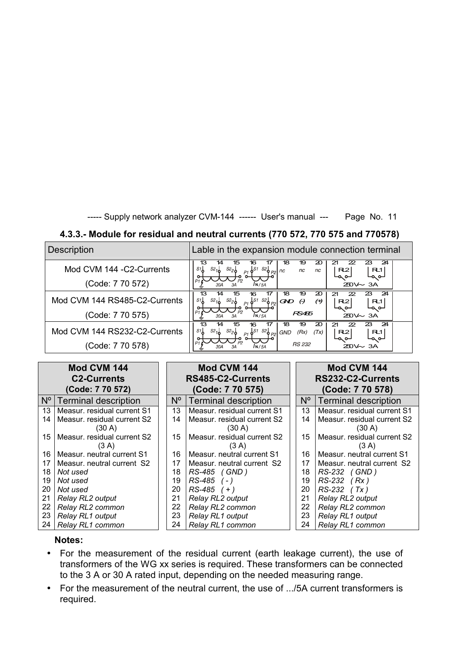#### **4.3.3.- Module for residual and neutral currents (770 572, 770 575 and 770578)**

| <b>Description</b>                            | Lable in the expansion module connection terminal                                                                                                                             |
|-----------------------------------------------|-------------------------------------------------------------------------------------------------------------------------------------------------------------------------------|
| Mod CVM 144 - C2-Currents<br>(Code: 7 70 572) | 24<br>18<br>19<br>20<br>23<br>22<br>13<br>14<br>16<br>S1<br>S2<br> S1<br>s22<br>R2<br>R1<br>nc<br>nc<br>`o <sub>P2</sub> I nc<br>⊸∞<br>⊸ م∟<br>$\sqrt{N/5A}$<br>$250 \sim 3A$ |
| Mod CVM 144 RS485-C2-Currents                 | 19<br>$\boldsymbol{\mathcal{D}}$<br>24<br>23<br>16<br>18<br>13<br>22<br>14<br>S1<br>$S2_{1n}$<br>$S2_{26}$<br>$\Theta$<br>R2<br>RL1I<br>GND<br>∟ص صا<br>⊢م ہ∟                 |
| (Code: 7 70 575)                              | RS485<br>$250 - 3A$<br>IN/5A                                                                                                                                                  |
| Mod CVM 144 RS232-C2-Currents                 | 19<br>$\boldsymbol{\mathfrak{D}}$<br>24<br>18<br>23<br>13<br>16<br>22<br>21<br>14<br>S1<br>$s2_{2}$<br>(Rx)<br>(Tx)<br>R2<br>R1<br><b>GND</b><br>⊸ م∟<br>⊸ ⊶                  |
| (Code: 7 70 578)                              | <b>RS 232</b><br>$250 \sim 34$<br>IN / 5A                                                                                                                                     |

| Mod CVM 144<br><b>C2-Currents</b><br>(Code: 7 70 572) |                             |             | Mod CVM 144<br>RS485-C2-Currents<br>(Code: 7 70 575) |  | Mod CVM 144<br>RS232-C2-Currents<br>(Code: 7 70 578) |                             |
|-------------------------------------------------------|-----------------------------|-------------|------------------------------------------------------|--|------------------------------------------------------|-----------------------------|
| $N^{\circ}$                                           | <b>Terminal description</b> | $N^{\circ}$ | <b>Terminal description</b>                          |  | N°                                                   | Terminal description        |
| 13                                                    | Measur. residual current S1 | 13          | Measur, residual current S1                          |  | 13                                                   | Measur. residual current S1 |
| 14                                                    | Measur. residual current S2 | 14          | Measur. residual current S2                          |  | 14                                                   | Measur. residual current S2 |
|                                                       | (30 A)                      |             | (30 A)                                               |  |                                                      | (30 A)                      |
| 15                                                    | Measur. residual current S2 | 15          | Measur. residual current S2                          |  | 15                                                   | Measur. residual current S2 |
|                                                       | (3 A)                       |             | (3 A)                                                |  |                                                      | (3 A)                       |
| 16                                                    | Measur, neutral current S1  | 16          | Measur, neutral current S1                           |  | 16                                                   | Measur, neutral current S1  |
| 17                                                    | Measur, neutral current S2  | 17          | Measur, neutral current S2                           |  | 17                                                   | Measur, neutral current S2  |
| 18                                                    | Not used                    | 18          | RS-485 (GND)                                         |  | 18                                                   | RS-232 (GND)                |
| 19                                                    | Not used                    | 19          | RS-485<br>$( - )$                                    |  | 19                                                   | $RS-232$ (Rx)               |
| 20                                                    | Not used                    | 20          | $RS-485 (+)$                                         |  | 20                                                   | $RS-232$ (Tx)               |
| 21                                                    | Relay RL2 output            | 21          | <b>Relay RL2 output</b>                              |  | 21                                                   | Relay RL2 output            |
| 22                                                    | Relay RL2 common            | 22          | Relay RL2 common                                     |  | 22                                                   | Relay RL2 common            |
| 23                                                    | Relay RL1 output            | 23          | Relay RL1 output                                     |  | 23                                                   | <b>Relay RL1 output</b>     |
| 24                                                    | Relay RL1 common            | 24          | Relay RL1 common                                     |  | 24                                                   | Relay RL1 common            |

#### **Notes:**

- For the measurement of the residual current (earth leakage current), the use of transformers of the WG xx series is required. These transformers can be connected to the 3 A or 30 A rated input, depending on the needed measuring range.
- For the measurement of the neutral current, the use of .../5A current transformers is required.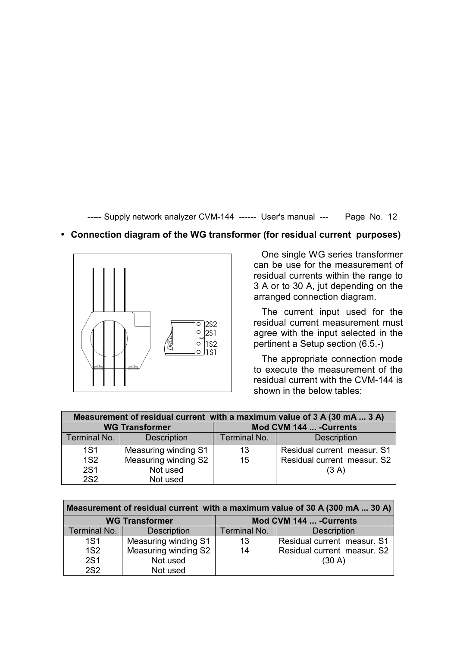#### • **Connection diagram of the WG transformer (for residual current purposes)**



 One single WG series transformer can be use for the measurement of residual currents within the range to 3 A or to 30 A, jut depending on the arranged connection diagram.

The current input used for the residual current measurement must agree with the input selected in the pertinent a Setup section (6.5.-)

 The appropriate connection mode to execute the measurement of the residual current with the CVM-144 is shown in the below tables:

| Measurement of residual current with a maximum value of 3 A (30 mA  3 A) |                       |              |                             |  |  |
|--------------------------------------------------------------------------|-----------------------|--------------|-----------------------------|--|--|
|                                                                          | <b>WG Transformer</b> |              | Mod CVM 144  - Currents     |  |  |
| Terminal No.                                                             | <b>Description</b>    | Terminal No. | <b>Description</b>          |  |  |
| <b>1S1</b>                                                               | Measuring winding S1  | 13           | Residual current measur. S1 |  |  |
| <b>1S2</b>                                                               | Measuring winding S2  | 15           | Residual current measur. S2 |  |  |
| <b>2S1</b>                                                               | Not used              |              | (3 A)                       |  |  |
| <b>2S2</b>                                                               | Not used              |              |                             |  |  |

| Measurement of residual current with a maximum value of 30 A (300 mA  30 A) |                       |              |                             |  |  |  |
|-----------------------------------------------------------------------------|-----------------------|--------------|-----------------------------|--|--|--|
|                                                                             | <b>WG Transformer</b> |              | Mod CVM 144  - Currents     |  |  |  |
| Terminal No.                                                                | <b>Description</b>    | Terminal No. | <b>Description</b>          |  |  |  |
| <b>1S1</b>                                                                  | Measuring winding S1  | 13           | Residual current measur. S1 |  |  |  |
| 1S <sub>2</sub>                                                             | Measuring winding S2  | 14           | Residual current measur. S2 |  |  |  |
| <b>2S1</b>                                                                  | Not used              |              | (30 A)                      |  |  |  |
| <b>2S2</b>                                                                  | Not used              |              |                             |  |  |  |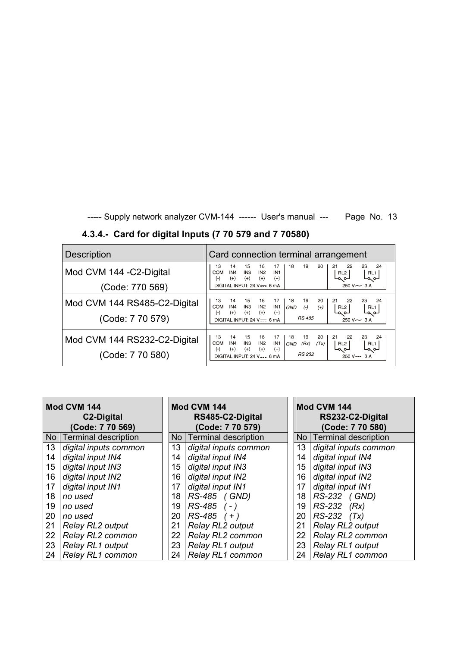| <b>Description</b>                               | Card connection terminal arrangement                                                                                                                                                                                                                                                                                                                   |
|--------------------------------------------------|--------------------------------------------------------------------------------------------------------------------------------------------------------------------------------------------------------------------------------------------------------------------------------------------------------------------------------------------------------|
| Mod CVM 144 - C2-Digital                         | 18<br>19<br>20<br>24<br>14<br>15<br>17<br>23<br>13<br>16<br>22<br>21<br>IN <sub>4</sub><br>COM<br>IN <sub>3</sub><br>IN <sub>2</sub><br>IN <sub>1</sub><br>RL1<br>RL <sub>2</sub><br>$(+)$<br>$(+)$<br>$(+)$<br>$(+)$<br>$(\cdot)$<br>⊏∾പ<br>⊸ ⊶                                                                                                       |
| (Code: 770 569)                                  | $250 V \sim 3 A$<br>DIGITAL INPUT: 24 V $\frac{1}{2}$ 6 mA                                                                                                                                                                                                                                                                                             |
| Mod CVM 144 RS485-C2-Digital<br>(Code: 7 70 579) | 24<br>14<br>15<br>18<br>19<br>20<br>23<br>13<br>16<br>17<br>22<br>21<br>IN <sub>4</sub><br>IN <sub>2</sub><br>IN1<br><b>COM</b><br>IN <sub>3</sub><br>$(-)$<br>$(+)$<br>RL <sub>2</sub><br>GND<br>RL <sub>1</sub><br>$(+)$<br>$(+)$<br>$(+)$<br>$(\cdot)$<br>$(+)$<br>∟ص ص∟<br>a o-<br><b>RS 485</b><br>$250 V \sim 3 A$<br>DIGITAL INPUT: 24 V-C 6 mA |
| Mod CVM 144 RS232-C2-Digital<br>(Code: 7 70 580) | 14<br>19<br>20<br>13<br>15<br>16<br>24<br>17<br>18<br>23<br>21<br>22<br>IN4<br>IN <sub>1</sub><br><b>COM</b><br>IN <sub>3</sub><br>IN <sub>2</sub><br>(Rx)<br>(Tx)<br>RL <sub>2</sub><br>GND<br>RL1<br>$(+)$<br>$(+)$<br>$(+)$<br>$(+)$<br>$(\cdot)$<br>⊏صصا<br>⊸ ⊶<br><b>RS 232</b><br>$250 V \sim 3 A$<br>DIGITAL INPUT: 24 V--- 6 mA                |

**4.3.4.- Card for digital Inputs (7 70 579 and 7 70580)** 

| Mod CVM 144<br>C <sub>2</sub> -Digital<br>(Code: 7 70 569) |                           |                            | Mod CVM 144<br>RS485-C2-Digital<br>(Code: 7 70 579) |    | Mod CVM 144<br>RS232-C2-Digital<br>(Code: 7 70 580) |  |
|------------------------------------------------------------|---------------------------|----------------------------|-----------------------------------------------------|----|-----------------------------------------------------|--|
|                                                            | No   Terminal description | Terminal description<br>No |                                                     |    | No   Terminal description                           |  |
| 13                                                         | digital inputs common     | 13                         | digital inputs common                               | 13 | digital inputs common                               |  |
| 14                                                         | digital input IN4         | 14                         | digital input IN4                                   | 14 | digital input IN4                                   |  |
| 15                                                         | digital input IN3         | 15                         | digital input IN3                                   | 15 | digital input IN3                                   |  |
| 16                                                         | digital input IN2         | 16                         | digital input IN2                                   | 16 | digital input IN2                                   |  |
| 17                                                         | digital input IN1         | 17                         | digital input IN1                                   | 17 | digital input IN1                                   |  |
| 18                                                         | no used                   | 18                         | RS-485 (GND)                                        | 18 | RS-232 (GND)                                        |  |
| 19                                                         | no used                   | 19                         | $RS-485$ (-)                                        | 19 | RS-232 (Rx)                                         |  |
| 20                                                         | no used                   | 20                         | $RS-485$ (+)                                        | 20 | $RS-232$ $(Tx)$                                     |  |
| 21                                                         | <b>Relay RL2 output</b>   | 21                         | Relay RL2 output                                    | 21 | Relay RL2 output                                    |  |
| 22                                                         | Relay RL2 common          | 22                         | Relay RL2 common                                    | 22 | Relay RL2 common                                    |  |
| 23                                                         | Relay RL1 output          | 23                         | Relay RL1 output                                    | 23 | Relay RL1 output                                    |  |
| 24                                                         | Relay RL1 common          | 24                         | Relay RL1 common                                    | 24 | <b>Relay RL1 common</b>                             |  |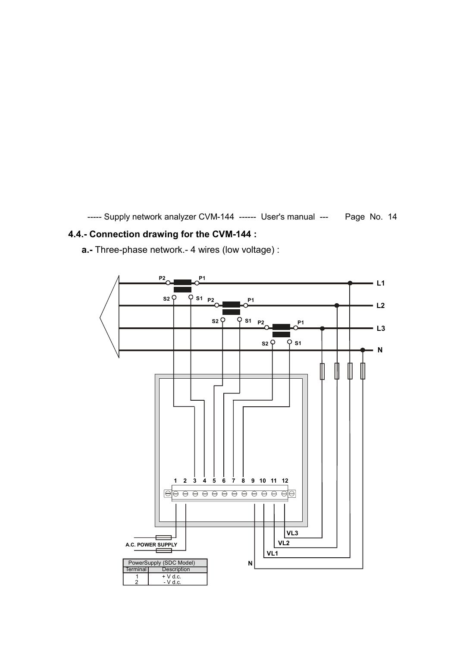# **4.4.- Connection drawing for the CVM-144 :**

**a.-** Three-phase network.- 4 wires (low voltage) :

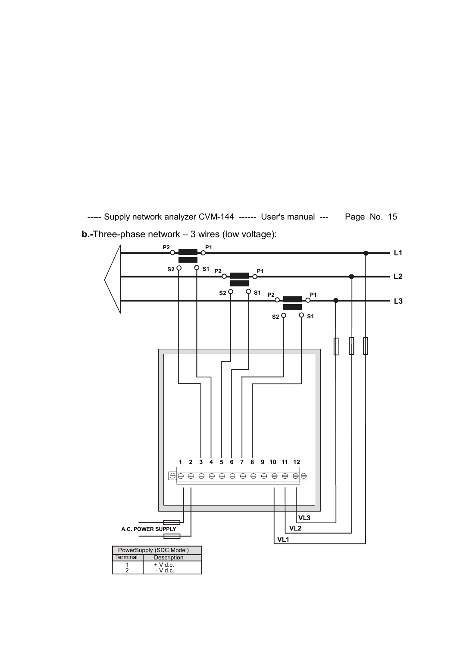----- Supply network analyzer CVM-144 ------ User's manual --- Page No. 15 **b.-**Three-phase network – 3 wires (low voltage):

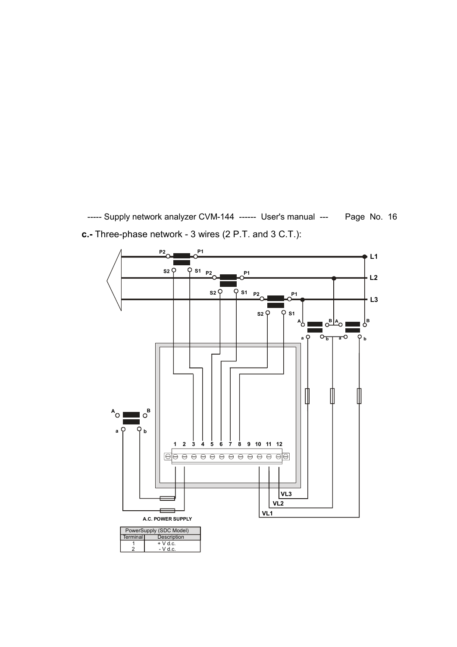----- Supply network analyzer CVM-144 ------ User's manual --- Page No. 16 **c.-** Three-phase network - 3 wires (2 P.T. and 3 C.T.):

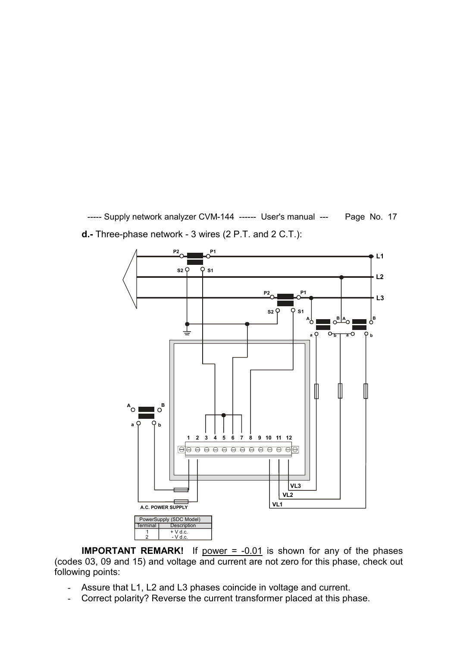----- Supply network analyzer CVM-144 ------ User's manual --- Page No. 17 **d.-** Three-phase network - 3 wires (2 P.T. and 2 C.T.):



**IMPORTANT REMARK!** If power = -0.01 is shown for any of the phases (codes 03, 09 and 15) and voltage and current are not zero for this phase, check out following points:

- Assure that L1, L2 and L3 phases coincide in voltage and current.
- Correct polarity? Reverse the current transformer placed at this phase.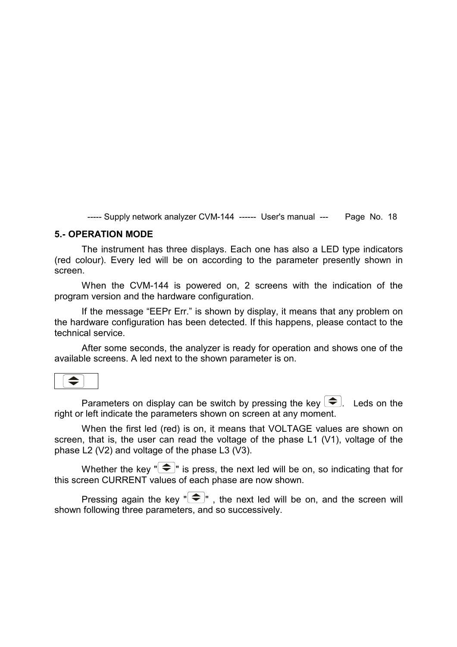#### **5.- OPERATION MODE**

The instrument has three displays. Each one has also a LED type indicators (red colour). Every led will be on according to the parameter presently shown in screen.

When the CVM-144 is powered on, 2 screens with the indication of the program version and the hardware configuration.

If the message "EEPr Err." is shown by display, it means that any problem on the hardware configuration has been detected. If this happens, please contact to the technical service.

After some seconds, the analyzer is ready for operation and shows one of the available screens. A led next to the shown parameter is on.



Parameters on display can be switch by pressing the key  $\left\{\triangleleft\right\}$ . Leds on the right or left indicate the parameters shown on screen at any moment.

When the first led (red) is on, it means that VOLTAGE values are shown on screen, that is, the user can read the voltage of the phase L1 (V1), voltage of the phase L2 (V2) and voltage of the phase L3 (V3).

Whether the key " $\bigcirc$ " is press, the next led will be on, so indicating that for this screen CURRENT values of each phase are now shown.

Pressing again the key  $\overline{\bullet}$ ", the next led will be on, and the screen will shown following three parameters, and so successively.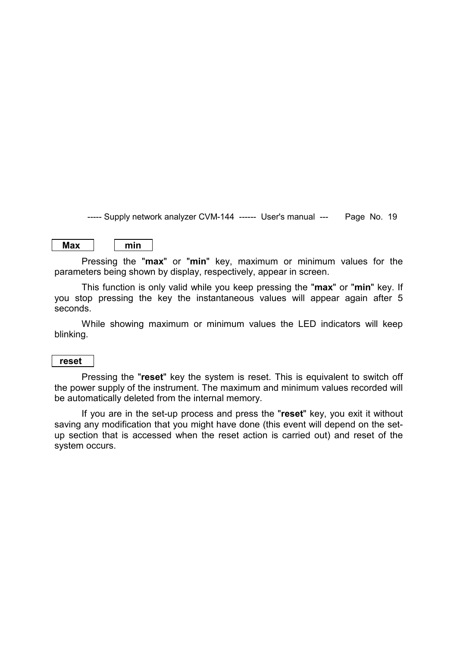**Max min**

Pressing the "**max**" or "**min**" key, maximum or minimum values for the parameters being shown by display, respectively, appear in screen.

This function is only valid while you keep pressing the "**max**" or "**min**" key. If you stop pressing the key the instantaneous values will appear again after 5 seconds.

While showing maximum or minimum values the LED indicators will keep blinking.

#### **reset**

Pressing the "**reset**" key the system is reset. This is equivalent to switch off the power supply of the instrument. The maximum and minimum values recorded will be automatically deleted from the internal memory.

If you are in the set-up process and press the "**reset**" key, you exit it without saving any modification that you might have done (this event will depend on the setup section that is accessed when the reset action is carried out) and reset of the system occurs.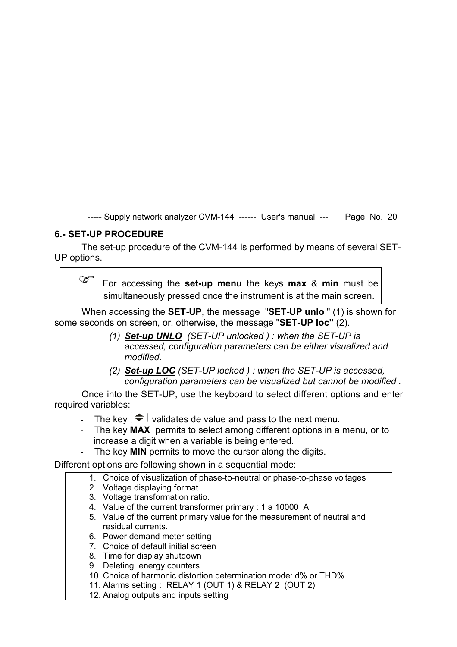# **6.- SET-UP PROCEDURE**

The set-up procedure of the CVM-144 is performed by means of several SET-UP options.

 For accessing the **set-up menu** the keys **max** & **min** must be simultaneously pressed once the instrument is at the main screen.

When accessing the **SET-UP,** the message "**SET-UP unlo** " (1) is shown for some seconds on screen, or, otherwise, the message "**SET-UP loc"** (2).

- *(1) Set-up UNLO (SET-UP unlocked ) : when the SET-UP is accessed, configuration parameters can be either visualized and modified.*
- *(2) Set-up LOC (SET-UP locked ) : when the SET-UP is accessed, configuration parameters can be visualized but cannot be modified .*

Once into the SET-UP, use the keyboard to select different options and enter required variables:

- The key  $\left( \bigtriangleup \right)$  validates de value and pass to the next menu.
- The key **MAX** permits to select among different options in a menu, or to increase a digit when a variable is being entered.
- The key **MIN** permits to move the cursor along the digits.

Different options are following shown in a sequential mode:

- 1. Choice of visualization of phase-to-neutral or phase-to-phase voltages
- 2. Voltage displaying format
- 3. Voltage transformation ratio.
- 4. Value of the current transformer primary : 1 a 10000 A
- 5. Value of the current primary value for the measurement of neutral and residual currents.
- 6. Power demand meter setting
- 7. Choice of default initial screen
- 8. Time for display shutdown
- 9. Deleting energy counters
- 10. Choice of harmonic distortion determination mode: d% or THD%
- 11. Alarms setting : RELAY 1 (OUT 1) & RELAY 2 (OUT 2)
- 12. Analog outputs and inputs setting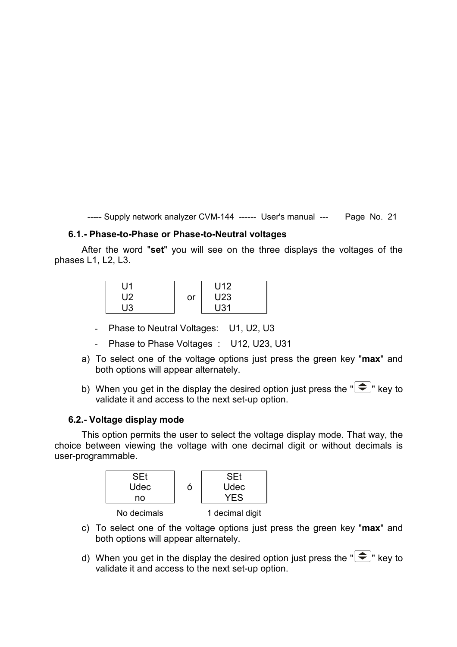#### **6.1.- Phase-to-Phase or Phase-to-Neutral voltages**

After the word "**set**" you will see on the three displays the voltages of the phases L1, L2, L3.

| U1 |    | U <sub>12</sub> |
|----|----|-----------------|
| U2 | or | U <sub>23</sub> |
| П3 |    | U31             |

- Phase to Neutral Voltages: U1, U2, U3
- Phase to Phase Voltages : U12, U23, U31
- a) To select one of the voltage options just press the green key "**max**" and both options will appear alternately.
- b) When you get in the display the desired option just press the  $\mathbb{R}$   $\leftarrow$  key to validate it and access to the next set-up option.

#### **6.2.- Voltage display mode**

This option permits the user to select the voltage display mode. That way, the choice between viewing the voltage with one decimal digit or without decimals is user-programmable.



- c) To select one of the voltage options just press the green key "**max**" and both options will appear alternately.
- d) When you get in the display the desired option just press the  $\mathbb{R}$   $\leftarrow$  key to validate it and access to the next set-up option.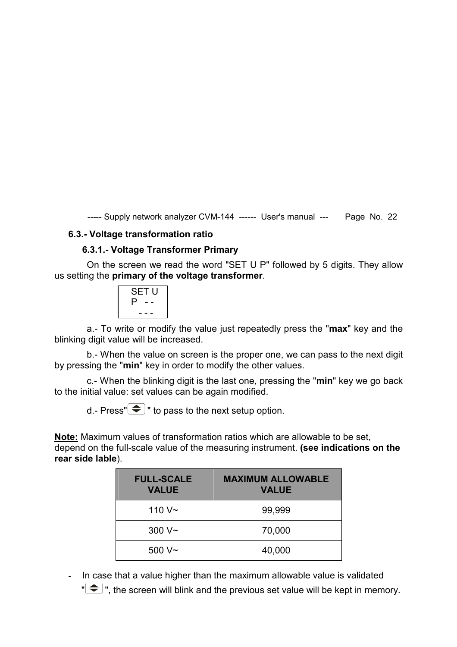#### **6.3.- Voltage transformation ratio**

#### **6.3.1.- Voltage Transformer Primary**

 On the screen we read the word "SET U P" followed by 5 digits. They allow us setting the **primary of the voltage transformer**.

|    | <b>SET U</b> |  |
|----|--------------|--|
| Р. |              |  |
|    | -            |  |

 a.- To write or modify the value just repeatedly press the "**max**" key and the blinking digit value will be increased.

 b.- When the value on screen is the proper one, we can pass to the next digit by pressing the "**min**" key in order to modify the other values.

 c.- When the blinking digit is the last one, pressing the "**min**" key we go back to the initial value: set values can be again modified.

d.- Press" $\bigcirc$ " to pass to the next setup option.

**Note:** Maximum values of transformation ratios which are allowable to be set, depend on the full-scale value of the measuring instrument. **(see indications on the rear side lable**).

| <b>FULL-SCALE</b><br><b>VALUE</b> | <b>MAXIMUM ALLOWABLE</b><br><b>VALUE</b> |
|-----------------------------------|------------------------------------------|
| 110 $V \sim$                      | 99,999                                   |
| 300 V <sub>~</sub>                | 70,000                                   |
| 500 V~                            | 40,000                                   |

- In case that a value higher than the maximum allowable value is validated

 $\mathbb{R}^{\bullet}$  ", the screen will blink and the previous set value will be kept in memory.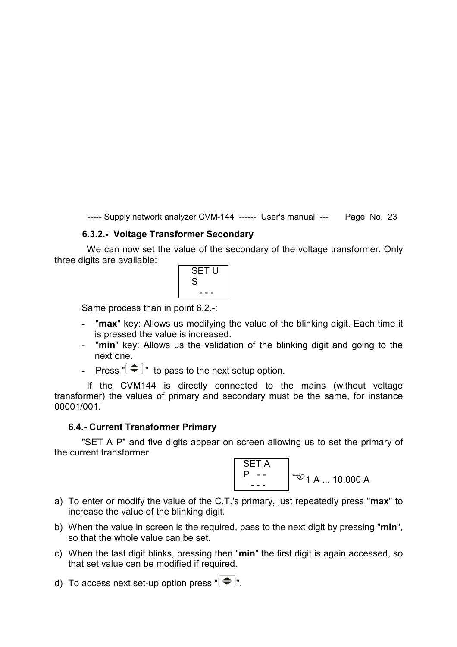#### **6.3.2.- Voltage Transformer Secondary**

We can now set the value of the secondary of the voltage transformer. Only three digits are available:



Same process than in point 6.2.-:

- "**max**" key: Allows us modifying the value of the blinking digit. Each time it is pressed the value is increased.
- "**min**" key: Allows us the validation of the blinking digit and going to the next one.
- Press  $\sqrt[n]{\bigoplus}$  " to pass to the next setup option.

 If the CVM144 is directly connected to the mains (without voltage transformer) the values of primary and secondary must be the same, for instance 00001/001.

#### **6.4.- Current Transformer Primary**

"SET A P" and five digits appear on screen allowing us to set the primary of the current transformer.



- a) To enter or modify the value of the C.T.'s primary, just repeatedly press "**max**" to increase the value of the blinking digit.
- b) When the value in screen is the required, pass to the next digit by pressing "**min**", so that the whole value can be set.
- c) When the last digit blinks, pressing then "**min**" the first digit is again accessed, so that set value can be modified if required.
- d) To access next set-up option press " $\left( \bigstar \right)$ ".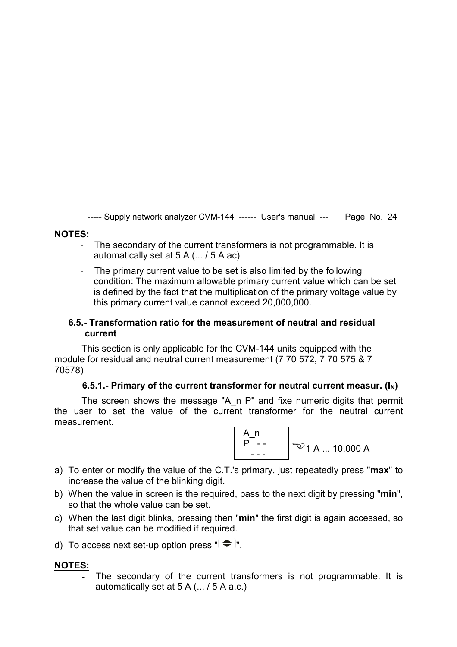#### **NOTES:**

- The secondary of the current transformers is not programmable. It is automatically set at 5 A (... / 5 A ac)
- The primary current value to be set is also limited by the following condition: The maximum allowable primary current value which can be set is defined by the fact that the multiplication of the primary voltage value by this primary current value cannot exceed 20,000,000.

#### **6.5.- Transformation ratio for the measurement of neutral and residual current**

This section is only applicable for the CVM-144 units equipped with the module for residual and neutral current measurement (7 70 572, 7 70 575 & 7 70578)

#### 6.5.1.- Primary of the current transformer for neutral current measur.  $(I_N)$

The screen shows the message "A\_n P" and fixe numeric digits that permit the user to set the value of the current transformer for the neutral current measurement.



- a) To enter or modify the value of the C.T.'s primary, just repeatedly press "**max**" to increase the value of the blinking digit.
- b) When the value in screen is the required, pass to the next digit by pressing "**min**", so that the whole value can be set.
- c) When the last digit blinks, pressing then "**min**" the first digit is again accessed, so that set value can be modified if required.
- d) To access next set-up option press " $\left( \triangleq \right)$ ".

#### **NOTES:**

The secondary of the current transformers is not programmable. It is automatically set at 5 A (... / 5 A a.c.)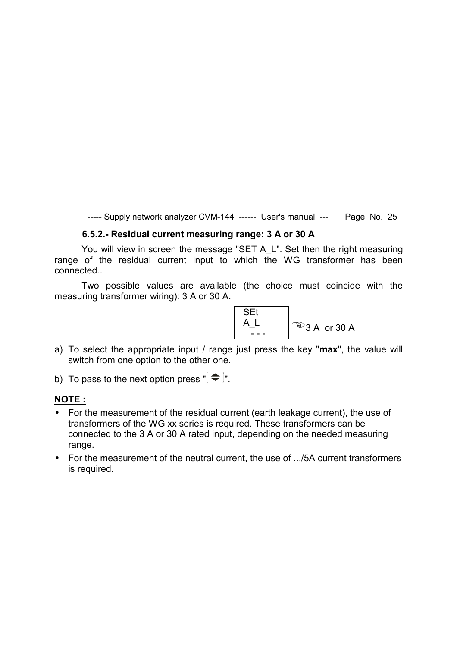#### **6.5.2.- Residual current measuring range: 3 A or 30 A**

You will view in screen the message "SET A\_L". Set then the right measuring range of the residual current input to which the WG transformer has been connected..

Two possible values are available (the choice must coincide with the measuring transformer wiring): 3 A or 30 A.



a) To select the appropriate input / range just press the key "**max**", the value will switch from one option to the other one.

b) To pass to the next option press  $\mathbb{R} \leftarrow \mathbb{R}$ .

#### **NOTE :**

- For the measurement of the residual current (earth leakage current), the use of transformers of the WG xx series is required. These transformers can be connected to the 3 A or 30 A rated input, depending on the needed measuring range.
- For the measurement of the neutral current, the use of .../5A current transformers is required.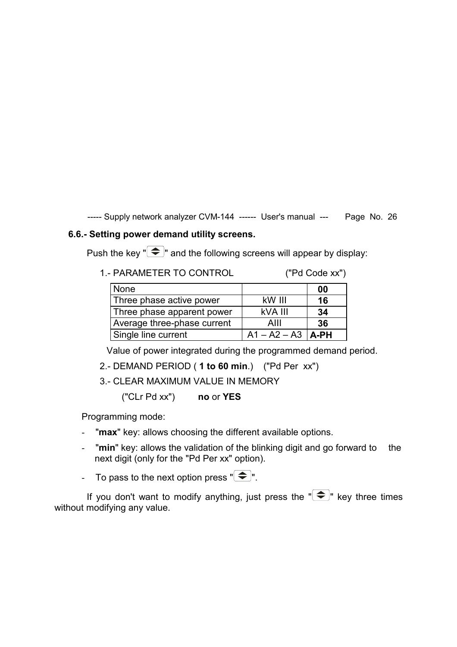#### **6.6.- Setting power demand utility screens.**

Push the key " $\bigcirc$ " and the following screens will appear by display:

1.- PARAMETER TO CONTROL ("Pd Code xx")

| <b>None</b>                 |                       | 00 |
|-----------------------------|-----------------------|----|
| Three phase active power    | kW III                | 16 |
| Three phase apparent power  | kVA III               | 34 |
| Average three-phase current | AIII                  | 36 |
| Single line current         | $A1 - A2 - A3$   A-PH |    |

Value of power integrated during the programmed demand period.

- 2.- DEMAND PERIOD ( **1 to 60 min**.) ("Pd Per xx")
- 3.- CLEAR MAXIMUM VALUE IN MEMORY

("CLr Pd xx") **no** or **YES**

Programming mode:

- "**max**" key: allows choosing the different available options.
- "**min**" key: allows the validation of the blinking digit and go forward to the next digit (only for the "Pd Per xx" option).
- To pass to the next option press  $\mathbb{R}^n$ .

If you don't want to modify anything, just press the  $\mathbb{F}$   $\leftarrow$  " key three times without modifying any value.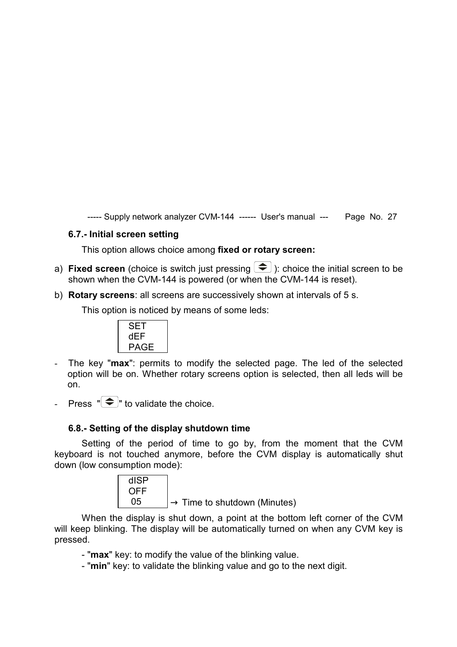#### **6.7.- Initial screen setting**

This option allows choice among **fixed or rotary screen:** 

- a) **Fixed screen** (choice is switch just pressing  $\blacktriangledown$ ): choice the initial screen to be shown when the CVM-144 is powered (or when the CVM-144 is reset).
- b) **Rotary screens**: all screens are successively shown at intervals of 5 s.

This option is noticed by means of some leds:



- The key "**max**": permits to modify the selected page. The led of the selected option will be on. Whether rotary screens option is selected, then all leds will be on.
- Press  $\mathbb{T}(\widehat{\widehat{\mathcal{F}}}^n)$  to validate the choice.

#### **6.8.- Setting of the display shutdown time**

Setting of the period of time to go by, from the moment that the CVM keyboard is not touched anymore, before the CVM display is automatically shut down (low consumption mode):



When the display is shut down, a point at the bottom left corner of the CVM will keep blinking. The display will be automatically turned on when any CVM key is pressed.

- "**max**" key: to modify the value of the blinking value.
- "**min**" key: to validate the blinking value and go to the next digit.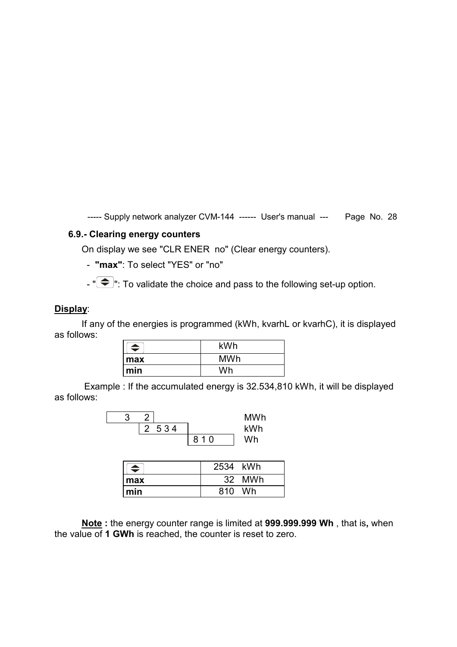#### **6.9.- Clearing energy counters**

On display we see "CLR ENER no" (Clear energy counters).

- **"max"**: To select "YES" or "no"

 $-$  " $\bigoplus$ ": To validate the choice and pass to the following set-up option.

#### **Display**:

If any of the energies is programmed (kWh, kvarhL or kvarhC), it is displayed as follows:

| ≐   | kWh        |  |
|-----|------------|--|
| max | <b>MWh</b> |  |
| min | Wh         |  |

 Example : If the accumulated energy is 32.534,810 kWh, it will be displayed as follows:

|         |     | <b>MWh</b> |
|---------|-----|------------|
| 2 5 3 4 |     | kWh        |
|         | 810 | Wh         |

| $\blacktriangle$ | 2534 kWh |        |
|------------------|----------|--------|
| ∣ max            |          | 32 MWh |
| $\mathsf{I}$ min | 810      | Wh     |

**Note :** the energy counter range is limited at **999.999.999 Wh** , that is**,** when the value of **1 GWh** is reached, the counter is reset to zero.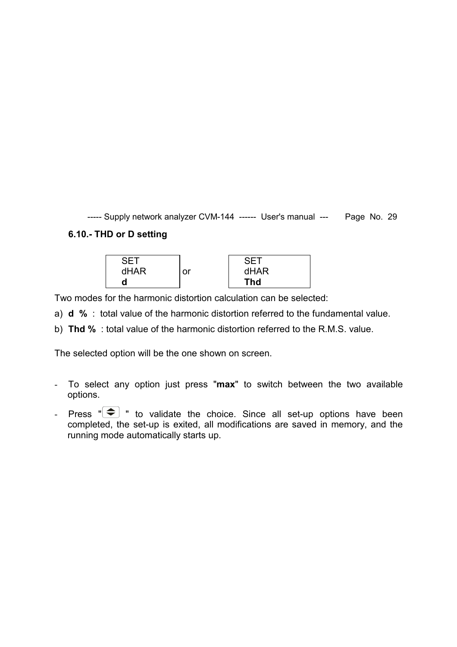# **6.10.- THD or D setting**



Two modes for the harmonic distortion calculation can be selected:

- a) **d %** : total value of the harmonic distortion referred to the fundamental value.
- b) **Thd %** : total value of the harmonic distortion referred to the R.M.S. value.

The selected option will be the one shown on screen.

- To select any option just press "**max**" to switch between the two available options.
- Press  $\overline{\bullet}$  " to validate the choice. Since all set-up options have been completed, the set-up is exited, all modifications are saved in memory, and the running mode automatically starts up.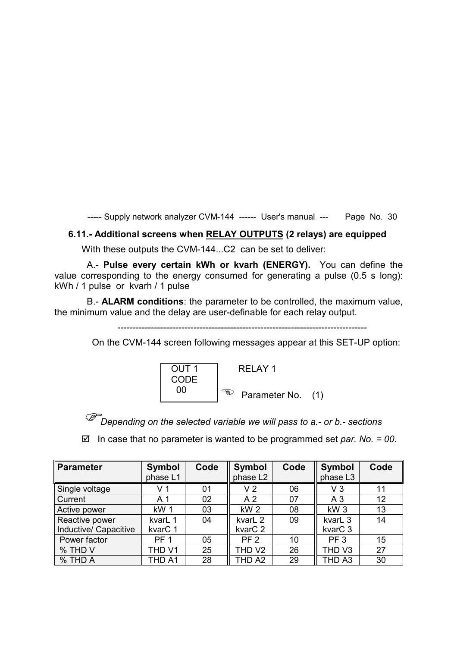#### **6.11.- Additional screens when RELAY OUTPUTS (2 relays) are equipped**

With these outputs the CVM-144...C2 can be set to deliver:

 A.- **Pulse every certain kWh or kvarh (ENERGY).** You can define the value corresponding to the energy consumed for generating a pulse (0.5 s long): kWh / 1 pulse or kvarh / 1 pulse

 B.- **ALARM conditions**: the parameter to be controlled, the maximum value, the minimum value and the delay are user-definable for each relay output.

On the CVM-144 screen following messages appear at this SET-UP option:



*Depending on the selected variable we will pass to a.- or b.- sections* 

In case that no parameter is wanted to be programmed set *par. No. = 00*.

| Parameter             | Symbol          | Code | <b>Symbol</b>       | Code | <b>Symbol</b>       | Code |
|-----------------------|-----------------|------|---------------------|------|---------------------|------|
|                       | phase L1        |      | phase L2            |      | phase L3            |      |
| Single voltage        | V 1             | 01   | V 2                 | 06   | VЗ                  | 11   |
| Current               | A 1             | 02   | A <sub>2</sub>      | 07   | A <sub>3</sub>      | 12   |
| Active power          | kW <sub>1</sub> | 03   | kW <sub>2</sub>     | 08   | kW <sub>3</sub>     | 13   |
| Reactive power        | kvarL 1         | 04   | kvarL 2             | 09   | kvarL <sub>3</sub>  | 14   |
| Inductive/ Capacitive | kvarC 1         |      | kvar <sub>C</sub> 2 |      | kvar <sub>C</sub> 3 |      |
| Power factor          | <b>PF 1</b>     | 05   | PF <sub>2</sub>     | 10   | PF <sub>3</sub>     | 15   |
| % THD V               | THD V1          | 25   | THD V2              | 26   | THD <sub>V3</sub>   | 27   |
| % THD A               | THD A1          | 28   | THD A2              | 29   | THD A3              | 30   |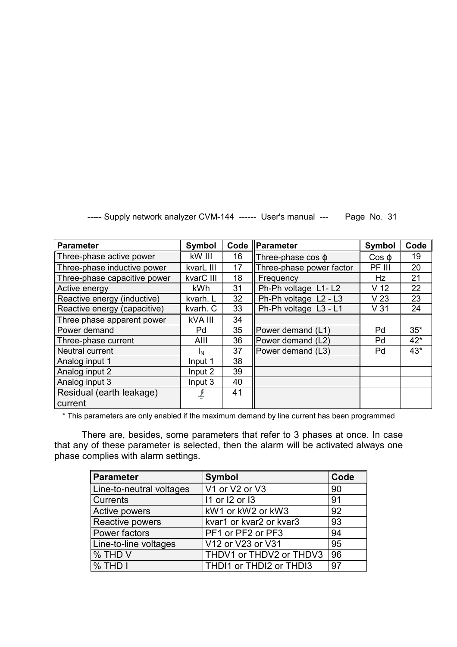| Parameter                    | Symbol     |    | Code    Parameter         | Symbol          | Code  |
|------------------------------|------------|----|---------------------------|-----------------|-------|
| Three-phase active power     | kW III     | 16 | Three-phase $cos \varphi$ | $\cos \varphi$  | 19    |
| Three-phase inductive power  | kvarL III  | 17 | Three-phase power factor  | PF III          | 20    |
| Three-phase capacitive power | kvarC III  | 18 | Frequency                 | <b>Hz</b>       | 21    |
| Active energy                | <b>kWh</b> | 31 | Ph-Ph voltage L1-L2       | V <sub>12</sub> | 22    |
| Reactive energy (inductive)  | kvarh. L   | 32 | Ph-Ph voltage L2 - L3     | V <sub>23</sub> | 23    |
| Reactive energy (capacitive) | kvarh. C   | 33 | Ph-Ph voltage L3 - L1     | V <sub>31</sub> | 24    |
| Three phase apparent power   | kVA III    | 34 |                           |                 |       |
| Power demand                 | Pd         | 35 | Power demand (L1)         | Pd              | $35*$ |
| Three-phase current          | AIII       | 36 | Power demand (L2)         | Pd              | $42*$ |
| <b>Neutral current</b>       | ΙN         | 37 | Power demand (L3)         | Pd              | $43*$ |
| Analog input 1               | Input 1    | 38 |                           |                 |       |
| Analog input 2               | Input 2    | 39 |                           |                 |       |
| Analog input 3               | Input 3    | 40 |                           |                 |       |
| Residual (earth leakage)     |            | 41 |                           |                 |       |
| current                      |            |    |                           |                 |       |

\* This parameters are only enabled if the maximum demand by line current has been programmed

There are, besides, some parameters that refer to 3 phases at once. In case that any of these parameter is selected, then the alarm will be activated always one phase complies with alarm settings.

| <b>Parameter</b>         | <b>Symbol</b>           | Code |
|--------------------------|-------------------------|------|
| Line-to-neutral voltages | V1 or V2 or V3          | 90   |
| <b>Currents</b>          | 11 or 12 or 13          | 91   |
| Active powers            | kW1 or kW2 or kW3       | 92   |
| Reactive powers          | kvar1 or kvar2 or kvar3 | 93   |
| Power factors            | PF1 or PF2 or PF3       | 94   |
| Line-to-line voltages    | V12 or V23 or V31       | 95   |
| % THD V                  | THDV1 or THDV2 or THDV3 | 96   |
| $%$ THD I                | THDI1 or THDI2 or THDI3 | 97   |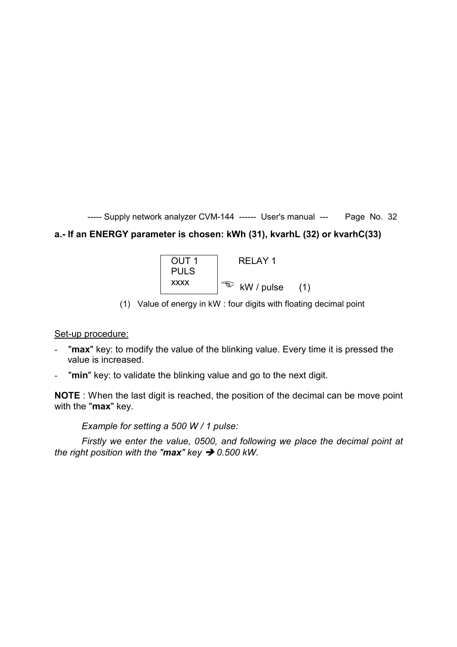# **a.- If an ENERGY parameter is chosen: kWh (31), kvarhL (32) or kvarhC(33)**



(1) Value of energy in kW : four digits with floating decimal point

#### Set-up procedure:

- "max" key: to modify the value of the blinking value. Every time it is pressed the value is increased.
- "**min**" key: to validate the blinking value and go to the next digit.

**NOTE** : When the last digit is reached, the position of the decimal can be move point with the "**max**" key.

*Example for setting a 500 W / 1 pulse:* 

*Firstly we enter the value, 0500, and following we place the decimal point at the right position with the "max" key 0.500 kW.*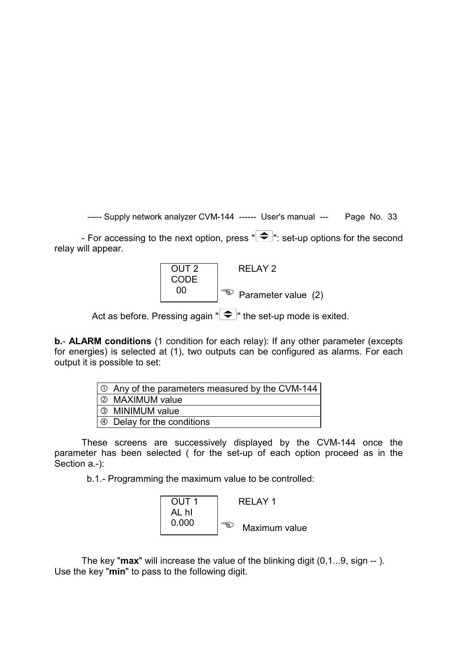- For accessing to the next option, press  $\mathbb{R}^n$ : set-up options for the second relay will appear.



Act as before. Pressing again " $\bigcirc$ " the set-up mode is exited.

**b.**- **ALARM conditions** (1 condition for each relay): If any other parameter (excepts for energies) is selected at (1), two outputs can be configured as alarms. For each output it is possible to set:

| 0 Any of the parameters measured by the CVM-144 |
|-------------------------------------------------|
| 2 MAXIMUM value                                 |
| 3 MINIMUM value                                 |
| $\Theta$ Delay for the conditions               |

These screens are successively displayed by the CVM-144 once the parameter has been selected ( for the set-up of each option proceed as in the Section a.-):

b.1.- Programming the maximum value to be controlled:



The key "**max**" will increase the value of the blinking digit (0,1...9, sign -- ). Use the key "**min**" to pass to the following digit.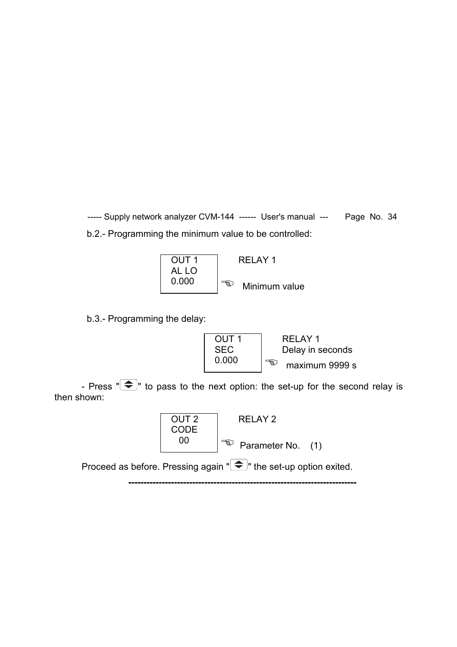----- Supply network analyzer CVM-144 ------ User's manual --- Page No. 34 b.2.- Programming the minimum value to be controlled:



b.3.- Programming the delay:



- Press  $\sqrt[n]{\bigoplus}$  to pass to the next option: the set-up for the second relay is then shown:



Proceed as before. Pressing again  $\mathcal{F}$  the set-up option exited.

**---------------------------------------------------------------------------**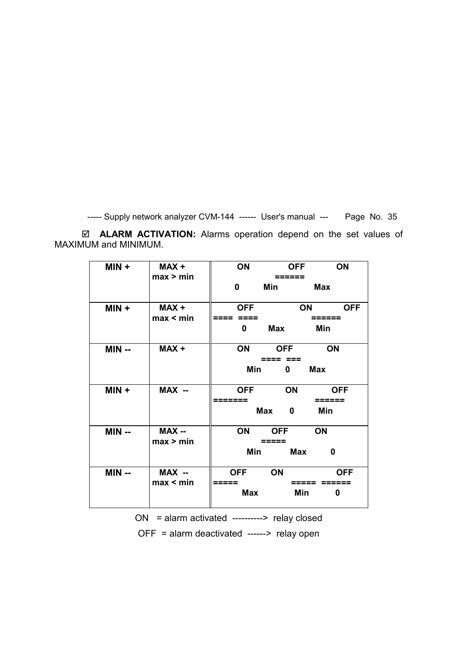**ALARM ACTIVATION:** Alarms operation depend on the set values of MAXIMUM and MINIMUM.

| $MIN +$ | MAX +<br>max > min  | <b>OFF</b><br>ON<br>ON<br><b>Min</b><br>Max<br>$\mathbf{0}$                                |
|---------|---------------------|--------------------------------------------------------------------------------------------|
| $MIN +$ | H XAM<br>max < min  | <b>OFF</b><br><b>ON</b><br><b>OFF</b><br>====   ====  ___________   ======<br>Min<br>0 Max |
| $MIN -$ | MAX+                | ON OFF ON<br>Min 0 Max                                                                     |
| $MIN +$ | MAX --              | <b>ON</b><br><b>OFF</b><br><b>OFF</b><br>=======  <br>  ======<br>Min<br>Max<br>0          |
| MIN --  | MAX --<br>max > min | ON OFF ON<br>-----  =====  ---------------  -----<br>Min Max<br>0                          |
| $MIN -$ | MAX --<br>max < min | ON<br><b>OFF</b><br><b>OFF</b><br>=====  __________  =====   ======<br>Min<br>Max<br>0     |

ON = alarm activated ----------> relay closed

OFF = alarm deactivated ------> relay open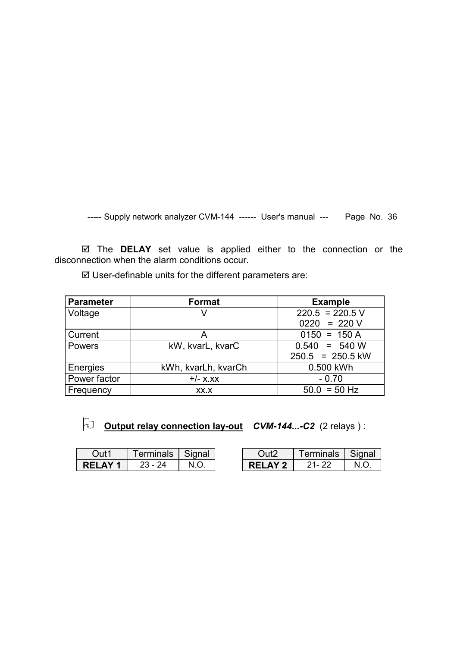The **DELAY** set value is applied either to the connection or the disconnection when the alarm conditions occur.

| <b>Parameter</b> | Format              | <b>Example</b>     |
|------------------|---------------------|--------------------|
| Voltage          | V                   | $220.5 = 220.5$ V  |
|                  |                     | $0220 = 220 V$     |
| <b>Current</b>   | A                   | $0150 = 150 A$     |
| <b>Powers</b>    | kW, kvarL, kvarC    | $0.540 = 540 W$    |
|                  |                     | $250.5 = 250.5$ kW |
| Energies         | kWh, kvarLh, kvarCh | 0.500 kWh          |
| Power factor     | $+/-$ X.XX          | $-0.70$            |
| Frequency        | XX.X                | $50.0 = 50$ Hz     |

User-definable units for the different parameters are:

- **Output relay connection lay-out** *CVM-144...-C2* (2 relays ) :

| Out1          | Terminals   Signal |      | Out <sub>2</sub> | Terminals   Signal |      |
|---------------|--------------------|------|------------------|--------------------|------|
| <b>RELAY1</b> | 23 - 24            | N.O. | RFIAY2           | - 21 - 22          | N.O. |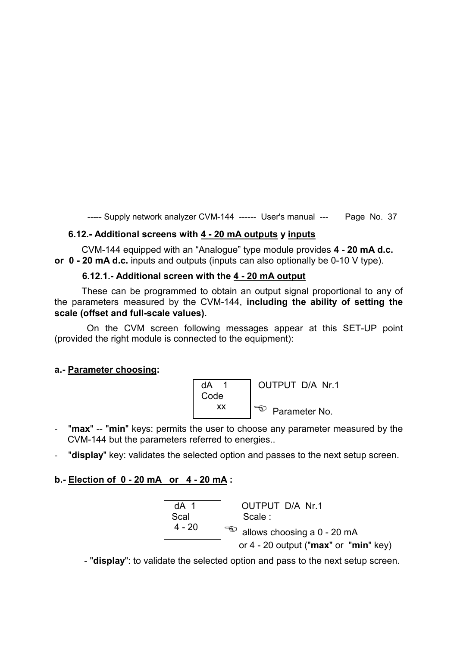# **6.12.- Additional screens with 4 - 20 mA outputs y inputs**

CVM-144 equipped with an "Analogue" type module provides **4 - 20 mA d.c. or 0 - 20 mA d.c.** inputs and outputs (inputs can also optionally be 0-10 V type).

#### **6.12.1.- Additional screen with the 4 - 20 mA output**

These can be programmed to obtain an output signal proportional to any of the parameters measured by the CVM-144, **including the ability of setting the scale (offset and full-scale values).** 

 On the CVM screen following messages appear at this SET-UP point (provided the right module is connected to the equipment):

#### **a.- Parameter choosing:**



- "max" -- "min" keys: permits the user to choose any parameter measured by the CVM-144 but the parameters referred to energies..
- "**display**" key: validates the selected option and passes to the next setup screen.

#### **b.- Election of 0 - 20 mA or 4 - 20 mA :**



- "**display**": to validate the selected option and pass to the next setup screen.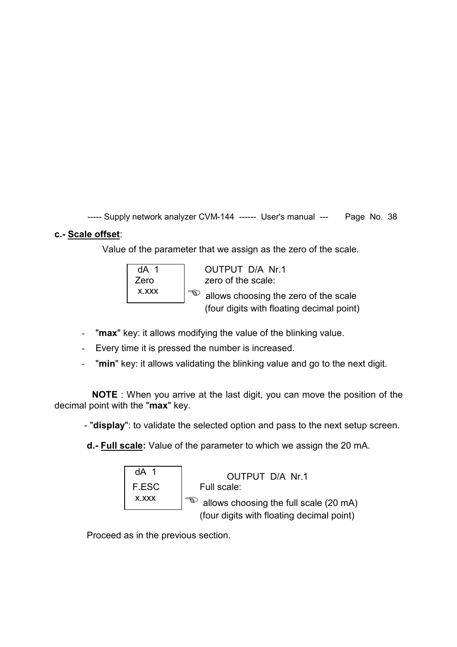# **c.- Scale offset**:

Value of the parameter that we assign as the zero of the scale.



- "**max**" key: it allows modifying the value of the blinking value.
- Every time it is pressed the number is increased.
- "**min**" key: it allows validating the blinking value and go to the next digit.

 **NOTE** : When you arrive at the last digit, you can move the position of the decimal point with the "**max**" key.

- "**display**": to validate the selected option and pass to the next setup screen.

**d.- Full scale:** Value of the parameter to which we assign the 20 mA.

| dA 1  | OUTPUT D/A Nr.1                           |
|-------|-------------------------------------------|
| F.ESC | Full scale:                               |
| X.XXX | allows choosing the full scale (20 mA)    |
|       | (four digits with floating decimal point) |

Proceed as in the previous section.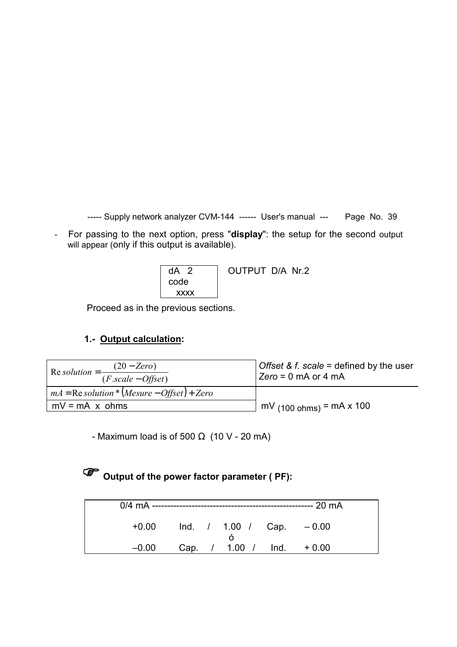- For passing to the next option, press "**display**": the setup for the second output will appear (only if this output is available).

| $dA$ 2 | OUTPUT D/A Nr.2 |
|--------|-----------------|
| code   |                 |
| XXXX   |                 |

Proceed as in the previous sections.

# **1.- Output calculation:**

| Re solution = $\frac{(20 - Zero)}{2}$<br>$(F.\text{scale}-\text{Offset})$ | <i>Offset &amp; f. scale</i> = defined by the user<br>$ Zero = 0$ mA or 4 mA |
|---------------------------------------------------------------------------|------------------------------------------------------------------------------|
| $mA = \text{Re}$ solution * (Mesure – Offset) + Zero                      |                                                                              |
| $mV = mA \times ohms$                                                     | $mV_{(100 ohms)}$ = mA x 100                                                 |

- Maximum load is of 500  $\Omega$  (10 V - 20 mA)

# **Output of the power factor parameter ( PF):**

|         |  |                              | --- 20 mA |  |
|---------|--|------------------------------|-----------|--|
| $+0.00$ |  | $Ind.$ / 1.00 / Cap. $-0.00$ |           |  |
| $-0.00$ |  | Cap. / 1.00 / Ind.           | $+0.00$   |  |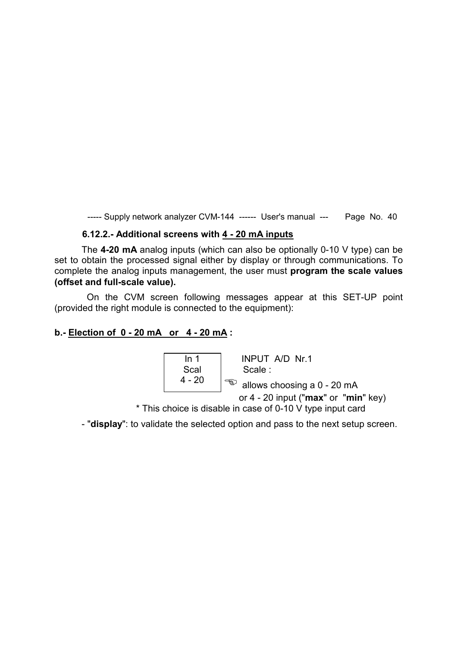#### **6.12.2.- Additional screens with 4 - 20 mA inputs**

The **4-20 mA** analog inputs (which can also be optionally 0-10 V type) can be set to obtain the processed signal either by display or through communications. To complete the analog inputs management, the user must **program the scale values (offset and full-scale value).** 

 On the CVM screen following messages appear at this SET-UP point (provided the right module is connected to the equipment):

#### **b.- Election of 0 - 20 mA or 4 - 20 mA :**

 In 1 INPUT A/D Nr.1 Scal | Scale : 4 - 20  $\int$  <sup>-</sup> allows choosing a 0 - 20 mA or 4 - 20 input ("**max**" or "**min**" key)

\* This choice is disable in case of 0-10 V type input card

- "**display**": to validate the selected option and pass to the next setup screen.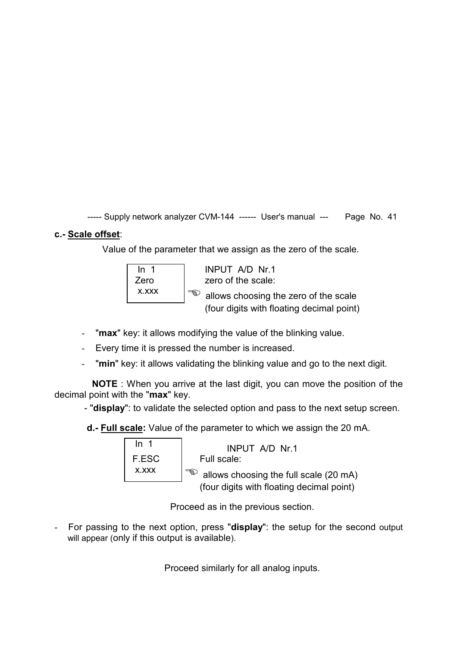# **c.- Scale offset**:

Value of the parameter that we assign as the zero of the scale.



- "**max**" key: it allows modifying the value of the blinking value.
- Every time it is pressed the number is increased.
- "**min**" key: it allows validating the blinking value and go to the next digit.

 **NOTE** : When you arrive at the last digit, you can move the position of the decimal point with the "**max**" key.

- "**display**": to validate the selected option and pass to the next setup screen.

**d.- Full scale:** Value of the parameter to which we assign the 20 mA.

| ln <sub>1</sub> | INPUT A/D Nr.1                            |
|-----------------|-------------------------------------------|
| F.ESC           | Full scale:                               |
| X.XXX           | allows choosing the full scale (20 mA)    |
|                 | (four digits with floating decimal point) |

Proceed as in the previous section.

- For passing to the next option, press "**display**": the setup for the second output will appear (only if this output is available).

Proceed similarly for all analog inputs.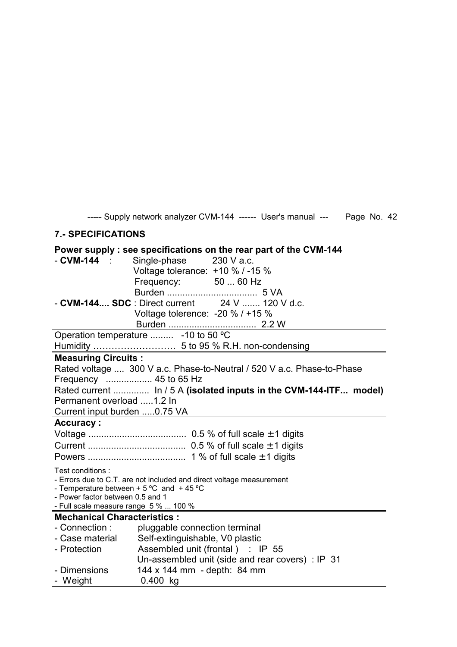# **7.- SPECIFICATIONS**

# **Power supply : see specifications on the rear part of the CVM-144**

| $-CVM-144$<br>Single-phase 230 V a.c.                                     |  |  |  |  |  |
|---------------------------------------------------------------------------|--|--|--|--|--|
| Voltage tolerance: $+10 \%$ / -15 %                                       |  |  |  |  |  |
| Frequency: 50  60 Hz                                                      |  |  |  |  |  |
|                                                                           |  |  |  |  |  |
| - CVM-144 SDC : Direct current 24 V  120 V d.c.                           |  |  |  |  |  |
| Voltage tolerence: $-20 \% / +15 \%$                                      |  |  |  |  |  |
|                                                                           |  |  |  |  |  |
| Operation temperature  -10 to 50 °C                                       |  |  |  |  |  |
|                                                                           |  |  |  |  |  |
| <b>Measuring Circuits:</b>                                                |  |  |  |  |  |
| Rated voltage  300 V a.c. Phase-to-Neutral / 520 V a.c. Phase-to-Phase    |  |  |  |  |  |
| Frequency  45 to 65 Hz                                                    |  |  |  |  |  |
| Rated current  In / 5 A (isolated inputs in the CVM-144-ITF model)        |  |  |  |  |  |
| Permanent overload 1.2 In                                                 |  |  |  |  |  |
| Current input burden 0.75 VA                                              |  |  |  |  |  |
| Accuracy:                                                                 |  |  |  |  |  |
|                                                                           |  |  |  |  |  |
|                                                                           |  |  |  |  |  |
|                                                                           |  |  |  |  |  |
| Test conditions:                                                          |  |  |  |  |  |
| - Errors due to C.T. are not included and direct voltage measurement      |  |  |  |  |  |
| - Temperature between $+5$ °C and $+45$ °C                                |  |  |  |  |  |
| - Power factor between 0.5 and 1<br>- Full scale measure range 5 %  100 % |  |  |  |  |  |
| <b>Mechanical Characteristics:</b>                                        |  |  |  |  |  |
| - Connection :<br>pluggable connection terminal                           |  |  |  |  |  |
| Self-extinguishable, V0 plastic<br>- Case material                        |  |  |  |  |  |
| Assembled unit (frontal) : IP 55<br>- Protection                          |  |  |  |  |  |
| Un-assembled unit (side and rear covers) : IP 31                          |  |  |  |  |  |
| 144 x 144 mm - depth: 84 mm<br>- Dimensions                               |  |  |  |  |  |
|                                                                           |  |  |  |  |  |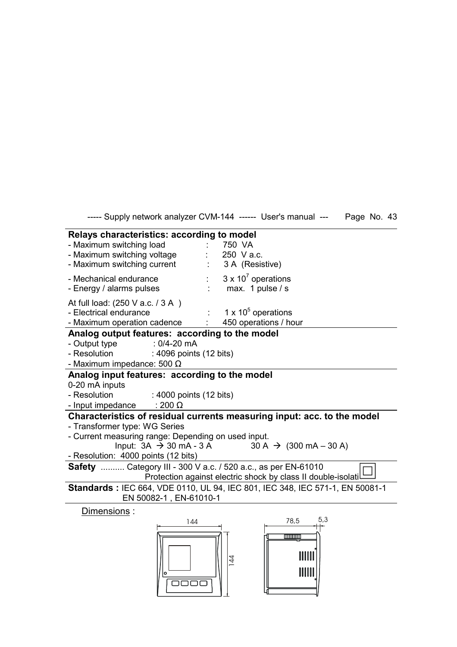----- Supply network analyzer CVM-144 ------ User's manual --- Page No. 43 **Relays characteristics: according to model** 

| - Maximum switching load<br>- Maximum switching voltage<br>- Maximum switching current                           | 750 VA<br>250 V a.c. | 3 A (Resistive)                                                                                                |
|------------------------------------------------------------------------------------------------------------------|----------------------|----------------------------------------------------------------------------------------------------------------|
| - Mechanical endurance<br>- Energy / alarms pulses                                                               |                      | $3 \times 10^7$ operations<br>max. 1 pulse / s                                                                 |
| At full load: (250 V a.c. / 3 A)<br>- Electrical endurance<br>- Maximum operation cadence                        |                      | 1 x $10^5$ operations<br>450 operations / hour                                                                 |
| Analog output features: according to the model                                                                   |                      |                                                                                                                |
| - Output type<br>: $0/4 - 20$ mA<br>- Resolution<br>: 4096 points (12 bits)<br>- Maximum impedance: 500 $\Omega$ |                      |                                                                                                                |
| Analog input features: according to the model                                                                    |                      |                                                                                                                |
| 0-20 mA inputs                                                                                                   |                      |                                                                                                                |
| - Resolution : 4000 points (12 bits)                                                                             |                      |                                                                                                                |
| - Input impedance<br>$: 200 \Omega$                                                                              |                      |                                                                                                                |
| - Transformer type: WG Series<br>- Current measuring range: Depending on used input.                             |                      | Characteristics of residual currents measuring input: acc. to the model                                        |
|                                                                                                                  |                      | Input: $3A \rightarrow 30 \text{ mA} - 3 \text{ A}$ $30 \text{ A} \rightarrow (300 \text{ mA} - 30 \text{ A})$ |
| - Resolution: 4000 points (12 bits)                                                                              |                      |                                                                                                                |
| <b>Safety</b> Category III - 300 V a.c. / 520 a.c., as per EN-61010                                              |                      |                                                                                                                |
|                                                                                                                  |                      | Protection against electric shock by class II double-isolati                                                   |
| EN 50082-1, EN-61010-1                                                                                           |                      | <b>Standards: IEC 664, VDE 0110, UL 94, IEC 801, IEC 348, IEC 571-1, EN 50081-1</b>                            |
| Dimensions:                                                                                                      |                      |                                                                                                                |
| 144                                                                                                              |                      | 5,3<br>78,5                                                                                                    |

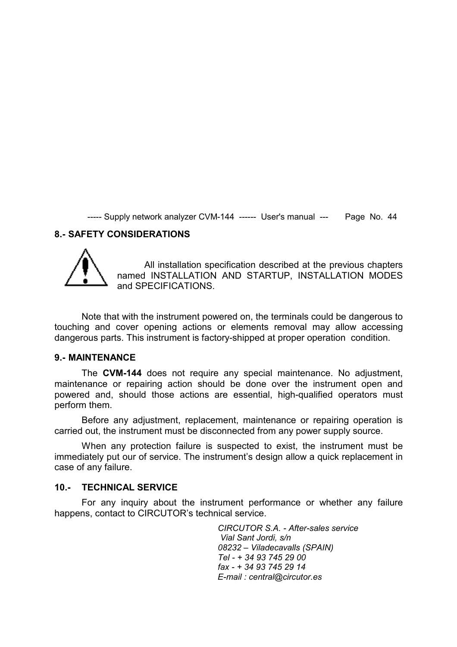#### **8.- SAFETY CONSIDERATIONS**



All installation specification described at the previous chapters named INSTALLATION AND STARTUP, INSTALLATION MODES and SPECIFICATIONS.

Note that with the instrument powered on, the terminals could be dangerous to touching and cover opening actions or elements removal may allow accessing dangerous parts. This instrument is factory-shipped at proper operation condition.

#### **9.- MAINTENANCE**

The **CVM-144** does not require any special maintenance. No adjustment, maintenance or repairing action should be done over the instrument open and powered and, should those actions are essential, high-qualified operators must perform them.

Before any adjustment, replacement, maintenance or repairing operation is carried out, the instrument must be disconnected from any power supply source.

When any protection failure is suspected to exist, the instrument must be immediately put our of service. The instrument's design allow a quick replacement in case of any failure.

#### **10.- TECHNICAL SERVICE**

For any inquiry about the instrument performance or whether any failure happens, contact to CIRCUTOR's technical service.

> *CIRCUTOR S.A. - After-sales service Vial Sant Jordi, s/n 08232 – Viladecavalls (SPAIN) Tel - + 34 93 745 29 00 fax - + 34 93 745 29 14 E-mail : central@circutor.es*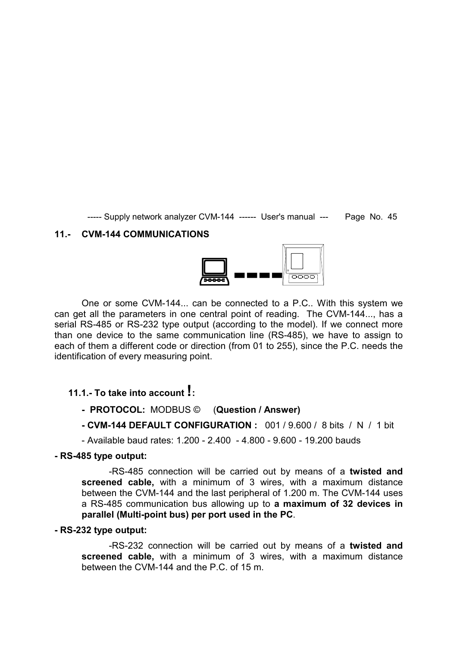#### **11.- CVM-144 COMMUNICATIONS**



One or some CVM-144... can be connected to a P.C.. With this system we can get all the parameters in one central point of reading. The CVM-144..., has a serial RS-485 or RS-232 type output (according to the model). If we connect more than one device to the same communication line (RS-485), we have to assign to each of them a different code or direction (from 01 to 255), since the P.C. needs the identification of every measuring point.

# **11.1.- To take into account !:**

- **PROTOCOL:** MODBUS © (**Question / Answer)**
- **CVM-144 DEFAULT CONFIGURATION :** 001 / 9.600 / 8 bits / N / 1 bit
- Available baud rates: 1.200 2.400 4.800 9.600 19.200 bauds

#### **- RS-485 type output:**

-RS-485 connection will be carried out by means of a **twisted and screened cable,** with a minimum of 3 wires, with a maximum distance between the CVM-144 and the last peripheral of 1.200 m. The CVM-144 uses a RS-485 communication bus allowing up to **a maximum of 32 devices in parallel (Multi-point bus) per port used in the PC**.

#### **- RS-232 type output:**

-RS-232 connection will be carried out by means of a **twisted and screened cable,** with a minimum of 3 wires, with a maximum distance between the CVM-144 and the P.C. of 15 m.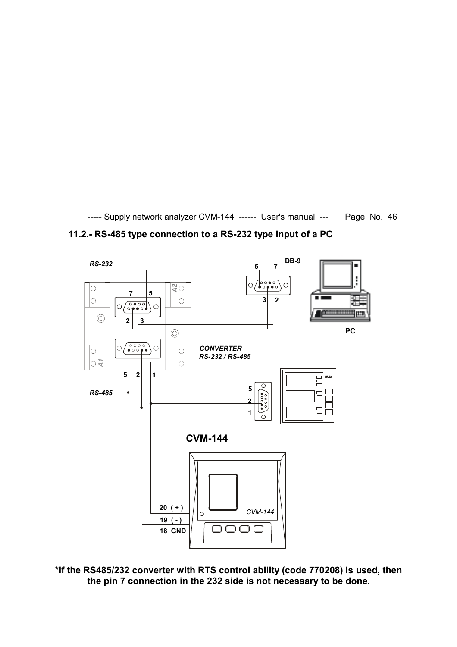

**11.2.- RS-485 type connection to a RS-232 type input of a PC** 

**\*If the RS485/232 converter with RTS control ability (code 770208) is used, then the pin 7 connection in the 232 side is not necessary to be done.**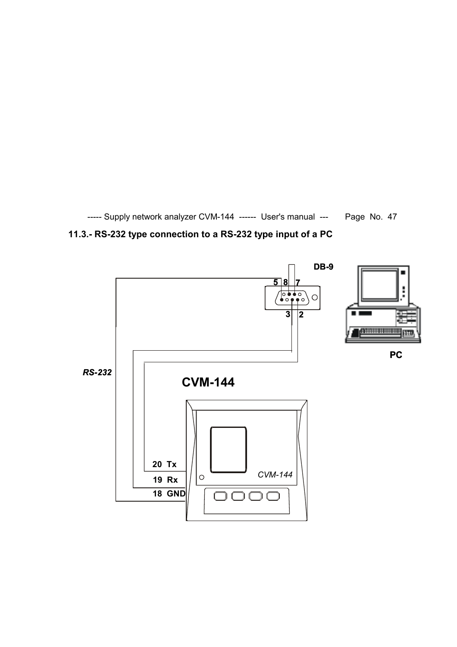

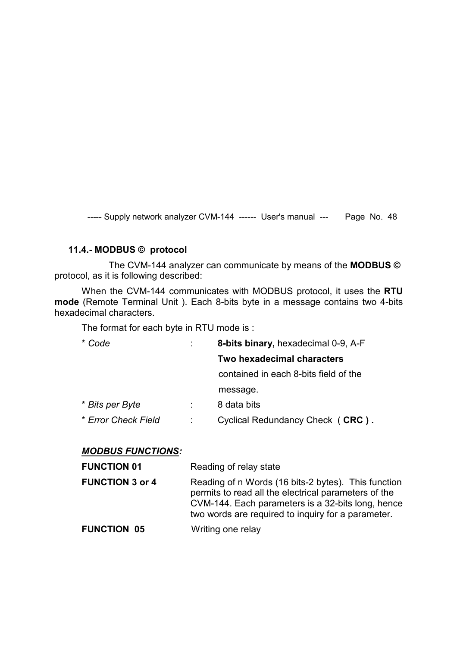#### **11.4.- MODBUS © protocol**

 The CVM-144 analyzer can communicate by means of the **MODBUS ©**  protocol, as it is following described:

When the CVM-144 communicates with MODBUS protocol, it uses the **RTU mode** (Remote Terminal Unit ). Each 8-bits byte in a message contains two 4-bits hexadecimal characters.

The format for each byte in RTU mode is :

| * Code              | 8-bits binary, hexadecimal 0-9, A-F   |
|---------------------|---------------------------------------|
|                     | <b>Two hexadecimal characters</b>     |
|                     | contained in each 8-bits field of the |
|                     | message.                              |
| * Bits per Byte     | 8 data bits                           |
| * Error Check Field | Cyclical Redundancy Check (CRC).      |
|                     |                                       |

#### *MODBUS FUNCTIONS:*

| <b>FUNCTION 01</b>     | Reading of relay state                                                                                                                                                                                                 |
|------------------------|------------------------------------------------------------------------------------------------------------------------------------------------------------------------------------------------------------------------|
| <b>FUNCTION 3 or 4</b> | Reading of n Words (16 bits-2 bytes). This function<br>permits to read all the electrical parameters of the<br>CVM-144. Each parameters is a 32-bits long, hence<br>two words are required to inquiry for a parameter. |
| <b>FUNCTION 05</b>     | Writing one relay                                                                                                                                                                                                      |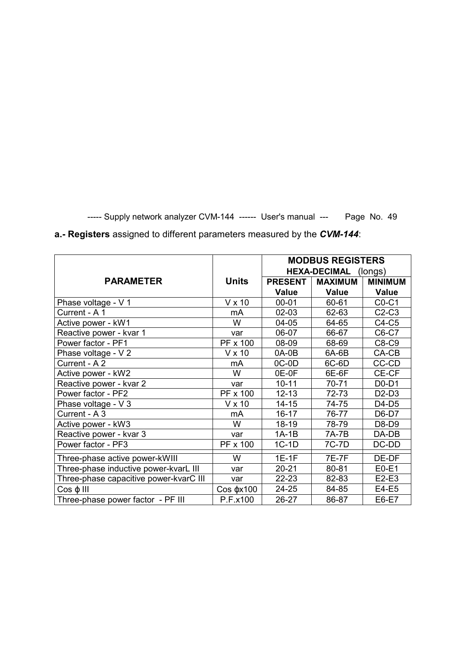|                                        |                    | <b>MODBUS REGISTERS</b> |                |                |
|----------------------------------------|--------------------|-------------------------|----------------|----------------|
|                                        |                    | HEXA-DECIMAL (longs)    |                |                |
| <b>PARAMETER</b>                       | <b>Units</b>       | <b>PRESENT</b>          | <b>MAXIMUM</b> | <b>MINIMUM</b> |
|                                        |                    | <b>Value</b>            | <b>Value</b>   | <b>Value</b>   |
| Phase voltage - V 1                    | $V \times 10$      | $00 - 01$               | 60-61          | $CO-C1$        |
| Current - A 1                          | mA                 | 02-03                   | 62-63          | $C2-C3$        |
| Active power - kW1                     | W                  | 04-05                   | 64-65          | $C4-C5$        |
| Reactive power - kvar 1                | var                | 06-07                   | 66-67          | C6-C7          |
| Power factor - PF1                     | PF x 100           | 08-09                   | 68-69          | C8-C9          |
| Phase voltage - V 2                    | $V \times 10$      | 0A-0B                   | 6A-6B          | $CA-CB$        |
| Current - A 2                          | mA                 | $OC-OD$                 | 6C-6D          | CC-CD          |
| Active power - kW2                     | W                  | 0E-0F                   | 6E-6F          | CE-CF          |
| Reactive power - kvar 2                | var                | $10 - 11$               | 70-71          | $D0-D1$        |
| Power factor - PF2                     | PF x 100           | $12 - 13$               | 72-73          | $D2-D3$        |
| Phase voltage - V 3                    | V x 10             | $14 - 15$               | 74-75          | D4-D5          |
| Current - A 3                          | mA                 | $16 - 17$               | 76-77          | D6-D7          |
| Active power - kW3                     | W                  | $18 - 19$               | 78-79          | D8-D9          |
| Reactive power - kvar 3                | var                | $1A-1B$                 | 7A-7B          | DA-DB          |
| Power factor - PF3                     | PF x 100           | $1C-1D$                 | 7C-7D          | DC-DD          |
| Three-phase active power-kWIII         | W                  | $1E-1F$                 | <b>7E-7F</b>   | DE-DF          |
| Three-phase inductive power-kvarL III  | var                | $20 - 21$               | 80-81          | $E0-E1$        |
| Three-phase capacitive power-kvarC III | var                | 22-23                   | 82-83          | $E2-E3$        |
| $Cos \varphi$ III                      | $Cos \varphi x100$ | 24-25                   | 84-85          | E4-E5          |
| Three-phase power factor - PF III      | P.F.x100           | $26 - 27$               | 86-87          | E6-E7          |

**a.- Registers** assigned to different parameters measured by the *CVM-144*: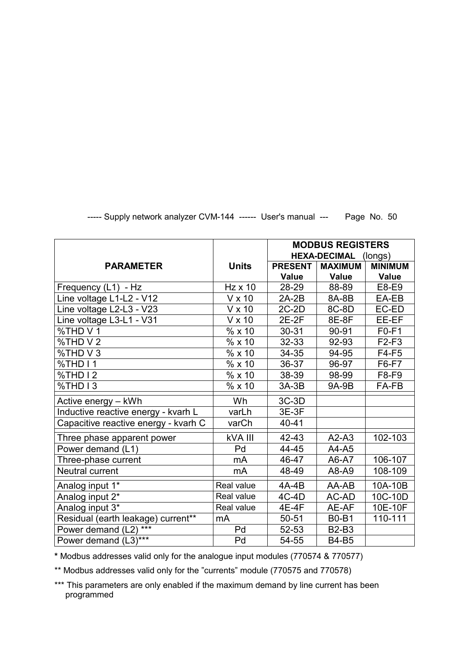|                                      |                | <b>MODBUS REGISTERS</b>        |                |                |
|--------------------------------------|----------------|--------------------------------|----------------|----------------|
|                                      |                | <b>HEXA-DECIMAL</b><br>(longs) |                |                |
| <b>PARAMETER</b>                     | <b>Units</b>   | <b>PRESENT</b>                 | <b>MAXIMUM</b> | <b>MINIMUM</b> |
|                                      |                | <b>Value</b>                   | <b>Value</b>   | <b>Value</b>   |
| Frequency (L1) - Hz                  | <b>Hz x 10</b> | 28-29                          | 88-89          | E8-E9          |
| Line voltage L1-L2 - V12             | $V \times 10$  | $2A-2B$                        | 8A-8B          | EA-EB          |
| Line voltage L2-L3 - V23             | V x 10         | $2C-2D$                        | 8C-8D          | EC-ED          |
| Line voltage L3-L1 - V31             | V x 10         | $2E-2F$                        | 8E-8F          | EE-EF          |
| %THD V 1                             | % x 10         | 30-31                          | 90-91          | $F0-F1$        |
| %THD V 2                             | % x 10         | 32-33                          | 92-93          | $F2-F3$        |
| %THD V 3                             | % x 10         | 34-35                          | 94-95          | $F4-F5$        |
| %THD I1                              | % x 10         | 36-37                          | 96-97          | F6-F7          |
| %THD I 2                             | % x 10         | 38-39                          | 98-99          | F8-F9          |
| %THD I3                              | % x 10         | $3A-3B$                        | 9A-9B          | FA-FB          |
| Active energy - kWh                  | Wh             | 3C-3D                          |                |                |
| Inductive reactive energy - kvarh L  | varLh          | 3E-3F                          |                |                |
| Capacitive reactive energy - kvarh C | varCh          | 40-41                          |                |                |
| Three phase apparent power           | <b>kVA III</b> | 42-43                          | $A2-A3$        | 102-103        |
| Power demand (L1)                    | Pd             | 44-45                          | A4-A5          |                |
| Three-phase current                  | mA             | 46-47                          | A6-A7          | 106-107        |
| Neutral current                      | mA             | 48-49                          | A8-A9          | 108-109        |
| Analog input 1*                      | Real value     | 4A-4B                          | AA-AB          | 10A-10B        |
| Analog input 2*                      | Real value     | $4C-4D$                        | AC-AD          | 10C-10D        |
| Analog input 3*                      | Real value     | 4E-4F                          | AE-AF          | 10E-10F        |
| Residual (earth leakage) current**   | mA             | 50-51                          | <b>B0-B1</b>   | 110-111        |
| Power demand (L2) ***                | Pd             | 52-53                          | <b>B2-B3</b>   |                |
| Power demand $(L3)$ ***              | Pd             | 54-55                          | <b>B4-B5</b>   |                |

**\*** Modbus addresses valid only for the analogue input modules (770574 & 770577)

\*\* Modbus addresses valid only for the "currents" module (770575 and 770578)

\*\*\* This parameters are only enabled if the maximum demand by line current has been programmed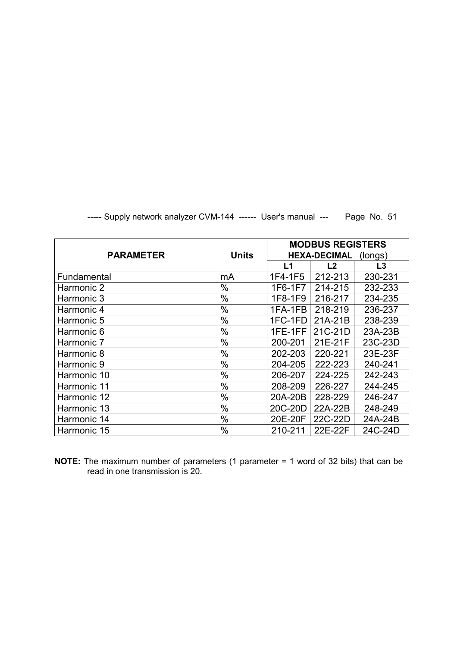|                  |              |                                | <b>MODBUS REGISTERS</b> |         |  |
|------------------|--------------|--------------------------------|-------------------------|---------|--|
| <b>PARAMETER</b> | <b>Units</b> | <b>HEXA-DECIMAL</b><br>(longs) |                         |         |  |
|                  |              | L1                             | L <sub>2</sub>          | L3      |  |
| Fundamental      | mA           | 1F4-1F5                        | 212-213                 | 230-231 |  |
| Harmonic 2       | $\%$         | 1F6-1F7                        | 214-215                 | 232-233 |  |
| Harmonic 3       | $\%$         | 1F8-1F9                        | 216-217                 | 234-235 |  |
| Harmonic 4       | $\%$         | 1FA-1FB                        | 218-219                 | 236-237 |  |
| Harmonic 5       | $\%$         | 1FC-1FD                        | 21A-21B                 | 238-239 |  |
| Harmonic 6       | $\%$         | 1FE-1FF                        | 21C-21D                 | 23A-23B |  |
| Harmonic 7       | $\%$         | 200-201                        | 21E-21F                 | 23C-23D |  |
| Harmonic 8       | %            | 202-203                        | 220-221                 | 23E-23F |  |
| Harmonic 9       | $\%$         | 204-205                        | 222-223                 | 240-241 |  |
| Harmonic 10      | $\%$         | 206-207                        | 224-225                 | 242-243 |  |
| Harmonic 11      | $\%$         | 208-209                        | 226-227                 | 244-245 |  |
| Harmonic 12      | %            | 20A-20B                        | 228-229                 | 246-247 |  |
| Harmonic 13      | $\%$         | 20C-20D                        | 22A-22B                 | 248-249 |  |
| Harmonic 14      | $\%$         | 20E-20F                        | 22C-22D                 | 24A-24B |  |
| Harmonic 15      | $\%$         | 210-211                        | 22E-22F                 | 24C-24D |  |

**NOTE:** The maximum number of parameters (1 parameter = 1 word of 32 bits) that can be read in one transmission is 20.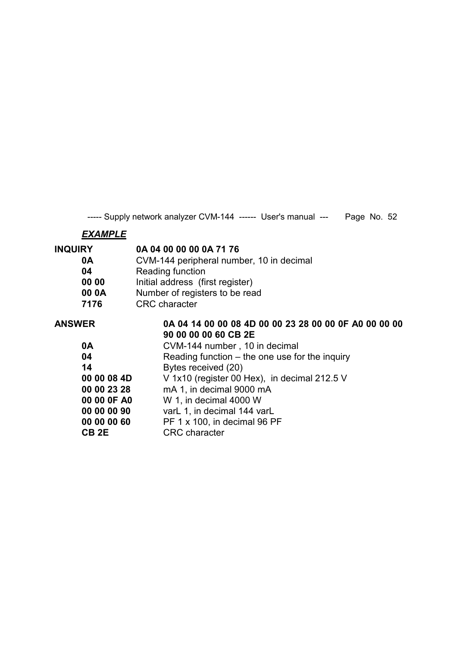# *EXAMPLE*

| <b>INQUIRY</b> | 0A 04 00 00 00 0A 71 76                               |  |  |
|----------------|-------------------------------------------------------|--|--|
| 0A             | CVM-144 peripheral number, 10 in decimal              |  |  |
| 04             | Reading function                                      |  |  |
| 00 00          | Initial address (first register)                      |  |  |
| 00 0A          | Number of registers to be read                        |  |  |
| 7176           | <b>CRC</b> character                                  |  |  |
| <b>ANSWER</b>  | 0A 04 14 00 00 08 4D 00 00 23 28 00 00 0F A0 00 00 00 |  |  |
|                | 90 00 00 00 60 CB 2E                                  |  |  |
| 0A             | CVM-144 number, 10 in decimal                         |  |  |
| 04             | Reading function $-$ the one use for the inquiry      |  |  |
| 14             | Bytes received (20)                                   |  |  |
| 00 00 08 4D    | V 1x10 (register 00 Hex), in decimal 212.5 V          |  |  |
| 00 00 23 28    | mA 1, in decimal 9000 mA                              |  |  |
| 00 00 0F A0    | W 1, in decimal 4000 W                                |  |  |
| 00 00 00 90    | varL 1, in decimal 144 varL                           |  |  |
| 00 00 00 60    | PF 1 x 100, in decimal 96 PF                          |  |  |
|                |                                                       |  |  |

**CB 2E** CRC character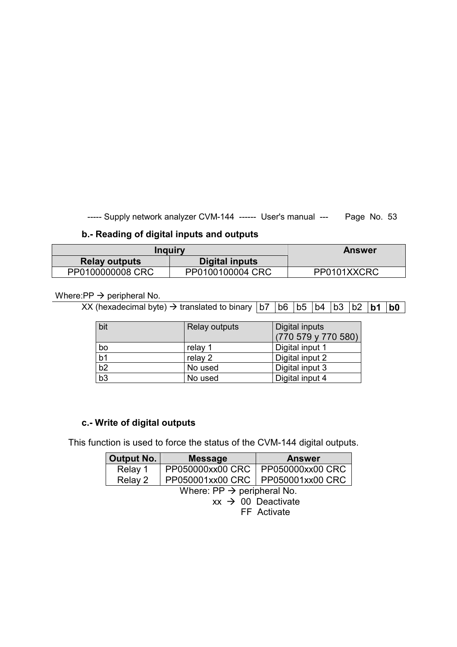# **b.- Reading of digital inputs and outputs**

| Inquiry                                | <b>Answer</b>    |             |
|----------------------------------------|------------------|-------------|
| Digital inputs<br><b>Relay outputs</b> |                  |             |
| PP0100000008 CRC                       | PP0100100004 CRC | PP0101XXCRC |

### Where: $PP \rightarrow$  peripheral No.

 $\overline{XX}$  (hexadecimal byte)  $\rightarrow$  translated to binary  $\overline{b7}$   $\overline{b6}$   $\overline{b5}$   $\overline{b4}$   $\overline{b3}$   $\overline{b2}$   $\overline{b1}$   $\overline{b0}$ 

| bit             | <b>Relay outputs</b> | Digital inputs<br>(770 579 y 770 580) |
|-----------------|----------------------|---------------------------------------|
| bo              | relay 1              | Digital input 1                       |
| b <sub>1</sub>  | relay 2              | Digital input 2                       |
| b2              | No used              | Digital input 3                       |
| $\overline{b3}$ | No used              | Digital input 4                       |

### **c.- Write of digital outputs**

This function is used to force the status of the CVM-144 digital outputs.

| <b>Output No.</b>                      | <b>Message</b>                      | <b>Answer</b>    |  |  |
|----------------------------------------|-------------------------------------|------------------|--|--|
| Relay 1                                | PP050000xx00 CRC                    | PP050000xx00 CRC |  |  |
| Relay 2                                | PP050001xx00 CRC   PP050001xx00 CRC |                  |  |  |
| Where: $PP \rightarrow$ peripheral No. |                                     |                  |  |  |
| $xx \rightarrow 00$ Deactivate         |                                     |                  |  |  |
| FF Activate                            |                                     |                  |  |  |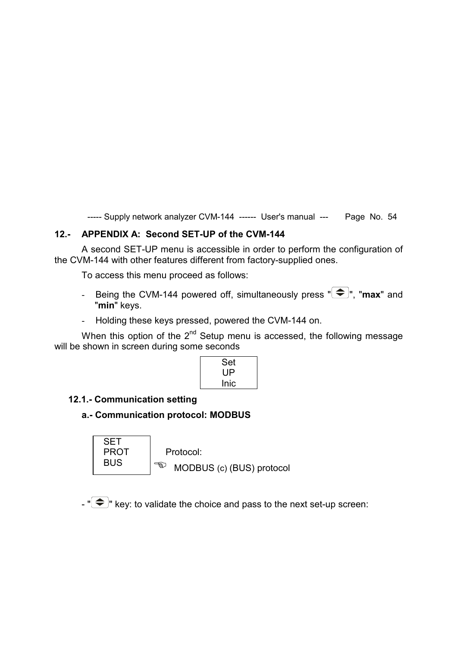#### **12.- APPENDIX A: Second SET-UP of the CVM-144**

A second SET-UP menu is accessible in order to perform the configuration of the CVM-144 with other features different from factory-supplied ones.

To access this menu proceed as follows:

- Being the CVM-144 powered off, simultaneously press  $\overline{\bullet}$ , "max" and "**min**" keys.
- Holding these keys pressed, powered the CVM-144 on.

When this option of the  $2^{nd}$  Setup menu is accessed, the following message will be shown in screen during some seconds

| Set  |  |
|------|--|
| UP   |  |
| Inic |  |
|      |  |

#### **12.1.- Communication setting**

#### **a.- Communication protocol: MODBUS**

**SET** PROT | Protocol: BUS  $\left|\bigoplus_{i=1}^{\infty}$  MODBUS (c) (BUS) protocol

 $-\sqrt[m]{\bigoplus}$  key: to validate the choice and pass to the next set-up screen: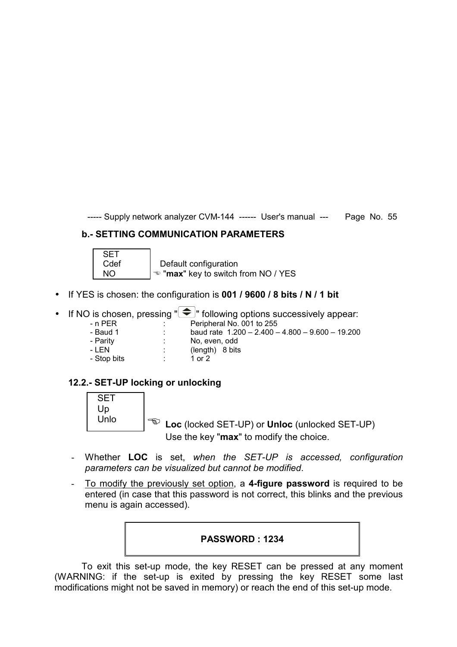# **b.- SETTING COMMUNICATION PARAMETERS**



- If YES is chosen: the configuration is **001 / 9600 / 8 bits / N / 1 bit**
- If NO is chosen, pressing  $\sum_{n=0}^{\infty}$  following options successively appear:
	-
	- n PER : Peripheral No. 001 to 255<br>- Baud 1 : baud rate 1.200 2.400 -
	- Baud 1 : baud rate 1.200 2.400 4.800 9.600 19.200<br>- Parity : No. even. odd
	- Parity : No, even, odd<br>- LEN : (length) 8 bits
	- $(lenath) 8 bits$
	- Stop bits : 1 or 2
		-

# **12.2.- SET-UP locking or unlocking**



- Whether **LOC** is set, *when the SET-UP is accessed, configuration parameters can be visualized but cannot be modified*.
- To modify the previously set option, a **4-figure password** is required to be entered (in case that this password is not correct, this blinks and the previous menu is again accessed).

#### **PASSWORD : 1234**

To exit this set-up mode, the key RESET can be pressed at any moment (WARNING: if the set-up is exited by pressing the key RESET some last modifications might not be saved in memory) or reach the end of this set-up mode.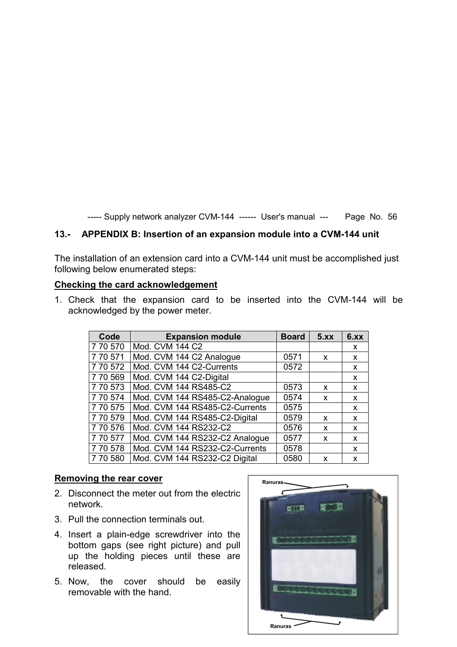#### **13.- APPENDIX B: Insertion of an expansion module into a CVM-144 unit**

The installation of an extension card into a CVM-144 unit must be accomplished just following below enumerated steps:

#### **Checking the card acknowledgement**

1. Check that the expansion card to be inserted into the CVM-144 will be acknowledged by the power meter.

| Code     | <b>Expansion module</b>        | <b>Board</b> | 5.xx | 6.xx |
|----------|--------------------------------|--------------|------|------|
| 7 70 570 | Mod. CVM 144 C2                |              |      | X    |
| 770571   | Mod. CVM 144 C2 Analogue       | 0571         | X    | x    |
| 7 70 572 | Mod. CVM 144 C2-Currents       | 0572         |      | X    |
| 7 70 569 | Mod. CVM 144 C2-Digital        |              |      | X    |
| 7 70 573 | Mod. CVM 144 RS485-C2          | 0573         | X    | X    |
| 7 70 574 | Mod. CVM 144 RS485-C2-Analogue | 0574         | X    | X    |
| 7 70 575 | Mod. CVM 144 RS485-C2-Currents | 0575         |      | X    |
| 770579   | Mod. CVM 144 RS485-C2-Digital  | 0579         | X    | X    |
| 7 70 576 | Mod. CVM 144 RS232-C2          | 0576         | X    | X    |
| 7 70 577 | Mod. CVM 144 RS232-C2 Analogue | 0577         | X    | X    |
| 770578   | Mod. CVM 144 RS232-C2-Currents | 0578         |      | X    |
| 7 70 580 | Mod. CVM 144 RS232-C2 Digital  | 0580         | X    | X    |

#### **Removing the rear cover**

- 2. Disconnect the meter out from the electric network.
- 3. Pull the connection terminals out.
- 4. Insert a plain-edge screwdriver into the bottom gaps (see right picture) and pull up the holding pieces until these are released.
- 5. Now, the cover should be easily removable with the hand.